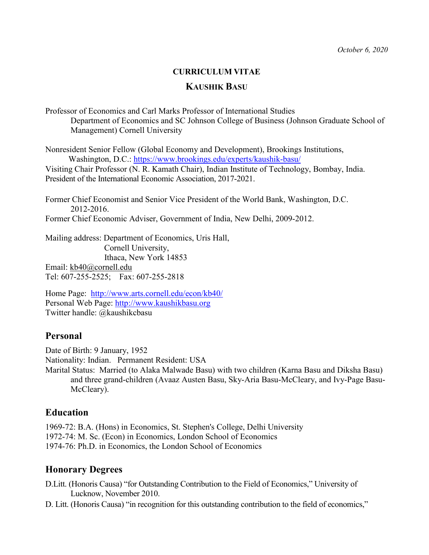## **CURRICULUM VITAE**

### **KAUSHIK BASU**

Professor of Economics and Carl Marks Professor of International Studies Department of Economics and SC Johnson College of Business (Johnson Graduate School of Management) Cornell University

Nonresident Senior Fellow (Global Economy and Development), Brookings Institutions, Washington, D.C.: <https://www.brookings.edu/experts/kaushik-basu/> Visiting Chair Professor (N. R. Kamath Chair), Indian Institute of Technology, Bombay, India. President of the International Economic Association, 2017-2021.

Former Chief Economist and Senior Vice President of the World Bank, Washington, D.C. 2012-2016. Former Chief Economic Adviser, Government of India, New Delhi, 2009-2012.

Mailing address: Department of Economics, Uris Hall, Cornell University, Ithaca, New York 14853 Email: [kb40@cornell.edu](mailto:kb40@cornell.edu) Tel: 607-255-2525; Fax: 607-255-2818

Home Page: <http://www.arts.cornell.edu/econ/kb40/> Personal Web Page: [http://www.kaushikbasu.org](http://www.kaushikbasu.org/) Twitter handle: @kaushikcbasu

# **Personal**

Date of Birth: 9 January, 1952 Nationality: Indian. Permanent Resident: USA Marital Status: Married (to Alaka Malwade Basu) with two children (Karna Basu and Diksha Basu) and three grand-children (Avaaz Austen Basu, Sky-Aria Basu-McCleary, and Ivy-Page Basu-McCleary).

# **Education**

1969-72: B.A. (Hons) in Economics, St. Stephen's College, Delhi University 1972-74: M. Sc. (Econ) in Economics, London School of Economics 1974-76: Ph.D. in Economics, the London School of Economics

# **Honorary Degrees**

D.Litt. (Honoris Causa) "for Outstanding Contribution to the Field of Economics," University of Lucknow, November 2010.

D. Litt. (Honoris Causa) "in recognition for this outstanding contribution to the field of economics,"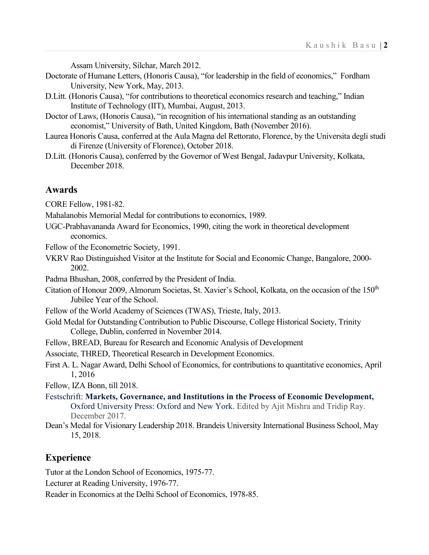Assam University, Silchar, March 2012.

- Doctorate of Humane Letters, (Honoris Causa), "for leadership in the field of economics," Fordham University, New York, May, 2013.
- D.Litt. (Honoris Causa), "for contributions to theoretical economics research and teaching," Indian Institute of Technology (IIT), Mumbai, August, 2013.
- Doctor of Laws, (Honoris Causa), "in recognition of his international standing as an outstanding economist," University of Bath, United Kingdom, Bath (November 2016).
- Laurea Honoris Causa, conferred at the Aula Magna del Rettorato, Florence, by the Universita degli studi di Firenze (University of Florence), October 2018.
- D.Litt. (Honoris Causa), conferred by the Governor of West Bengal, Jadavpur University, Kolkata, December 2018.

### **Awards**

CORE Fellow, 1981-82.

Mahalanobis Memorial Medal for contributions to economics, 1989.

UGC-Prabhavananda Award for Economics, 1990, citing the work in theoretical development economics.

Fellow of the Econometric Society, 1991.

VKRV Rao Distinguished Visitor at the Institute for Social and Economic Change, Bangalore, 2000- 2002.

Padma Bhushan, 2008, conferred by the President of India.

- Citation of Honour 2009, Almorum Societas, St. Xavier's School, Kolkata, on the occasion of the 150<sup>th</sup> Jubilee Year of the School.
- Fellow of the World Academy of Sciences (TWAS), Trieste, Italy, 2013.
- Gold Medal for Outstanding Contribution to Public Discourse, College Historical Society, Trinity College, Dublin, conferred in November 2014.
- Fellow, BREAD, Bureau for Research and Economic Analysis of Development

Associate, THRED, Theoretical Research in Development Economics.

First A. L. Nagar Award, Delhi School of Economics, for contributions to quantitative economics, April 1, 2016

Fellow, IZA Bonn, till 2018.

- Festschrift: **Markets, Governance, and Institutions in the Process of Economic Development,** Oxford University Press: Oxford and New York. Edited by Ajit Mishra and Tridip Ray. December 2017.
- Dean's Medal for Visionary Leadership 2018. Brandeis University International Business School, May 15, 2018.

### **Experience**

Tutor at the London School of Economics, 1975-77.

Lecturer at Reading University, 1976-77.

Reader in Economics at the Delhi School of Economics, 1978-85.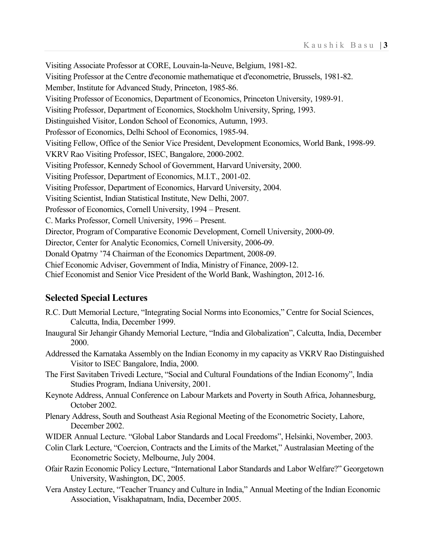Visiting Associate Professor at CORE, Louvain-la-Neuve, Belgium, 1981-82. Visiting Professor at the Centre d'economie mathematique et d'econometrie, Brussels, 1981-82. Member, Institute for Advanced Study, Princeton, 1985-86. Visiting Professor of Economics, Department of Economics, Princeton University, 1989-91. Visiting Professor, Department of Economics, Stockholm University, Spring, 1993. Distinguished Visitor, London School of Economics, Autumn, 1993. Professor of Economics, Delhi School of Economics, 1985-94. Visiting Fellow, Office of the Senior Vice President, Development Economics, World Bank, 1998-99. VKRV Rao Visiting Professor, ISEC, Bangalore, 2000-2002. Visiting Professor, Kennedy School of Government, Harvard University, 2000. Visiting Professor, Department of Economics, M.I.T., 2001-02. Visiting Professor, Department of Economics, Harvard University, 2004. Visiting Scientist, Indian Statistical Institute, New Delhi, 2007. Professor of Economics, Cornell University, 1994 – Present. C. Marks Professor, Cornell University, 1996 – Present. Director, Program of Comparative Economic Development, Cornell University, 2000-09. Director, Center for Analytic Economics, Cornell University, 2006-09. Donald Opatrny '74 Chairman of the Economics Department, 2008-09. Chief Economic Adviser, Government of India, Ministry of Finance, 2009-12. Chief Economist and Senior Vice President of the World Bank, Washington, 2012-16.

# **Selected Special Lectures**

- R.C. Dutt Memorial Lecture, "Integrating Social Norms into Economics," Centre for Social Sciences, Calcutta, India, December 1999.
- Inaugural Sir Jehangir Ghandy Memorial Lecture, "India and Globalization", Calcutta, India, December 2000.
- Addressed the Karnataka Assembly on the Indian Economy in my capacity as VKRV Rao Distinguished Visitor to ISEC Bangalore, India, 2000.
- The First Savitaben Trivedi Lecture, "Social and Cultural Foundations of the Indian Economy", India Studies Program, Indiana University, 2001.
- Keynote Address, Annual Conference on Labour Markets and Poverty in South Africa, Johannesburg, October 2002.
- Plenary Address, South and Southeast Asia Regional Meeting of the Econometric Society, Lahore, December 2002.
- WIDER Annual Lecture. "Global Labor Standards and Local Freedoms", Helsinki, November, 2003.
- Colin Clark Lecture, "Coercion, Contracts and the Limits of the Market," Australasian Meeting of the Econometric Society, Melbourne, July 2004.
- Ofair Razin Economic Policy Lecture, "International Labor Standards and Labor Welfare?" Georgetown University, Washington, DC, 2005.
- Vera Anstey Lecture, "Teacher Truancy and Culture in India," Annual Meeting of the Indian Economic Association, Visakhapatnam, India, December 2005.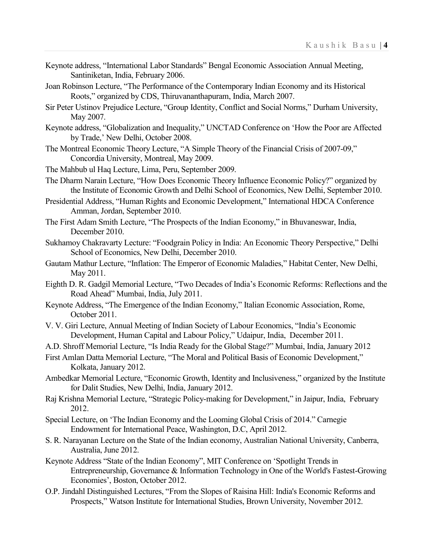- Keynote address, "International Labor Standards" Bengal Economic Association Annual Meeting, Santiniketan, India, February 2006.
- Joan Robinson Lecture, "The Performance of the Contemporary Indian Economy and its Historical Roots," organized by CDS, Thiruvananthapuram, India, March 2007.
- Sir Peter Ustinov Prejudice Lecture, "Group Identity, Conflict and Social Norms," Durham University, May 2007.
- Keynote address, "Globalization and Inequality," UNCTAD Conference on 'How the Poor are Affected by Trade,' New Delhi, October 2008.
- The Montreal Economic Theory Lecture, "A Simple Theory of the Financial Crisis of 2007-09," Concordia University, Montreal, May 2009.
- The Mahbub ul Haq Lecture, Lima, Peru, September 2009.
- The Dharm Narain Lecture, "How Does Economic Theory Influence Economic Policy?" organized by the Institute of Economic Growth and Delhi School of Economics, New Delhi, September 2010.
- Presidential Address, "Human Rights and Economic Development," International HDCA Conference Amman, Jordan, September 2010.
- The First Adam Smith Lecture, "The Prospects of the Indian Economy," in Bhuvaneswar, India, December 2010.
- Sukhamoy Chakravarty Lecture: "Foodgrain Policy in India: An Economic Theory Perspective," Delhi School of Economics, New Delhi, December 2010.
- Gautam Mathur Lecture, "Inflation: The Emperor of Economic Maladies," Habitat Center, New Delhi, May 2011.
- Eighth D. R. Gadgil Memorial Lecture, "Two Decades of India's Economic Reforms: Reflections and the Road Ahead" Mumbai, India, July 2011.
- Keynote Address, "The Emergence of the Indian Economy," Italian Economic Association, Rome, October 2011.
- V. V. Giri Lecture, Annual Meeting of Indian Society of Labour Economics, "India's Economic Development, Human Capital and Labour Policy," Udaipur, India, December 2011.
- A.D. Shroff Memorial Lecture, "Is India Ready for the Global Stage?" Mumbai, India, January 2012
- First Amlan Datta Memorial Lecture, "The Moral and Political Basis of Economic Development," Kolkata, January 2012.
- Ambedkar Memorial Lecture, "Economic Growth, Identity and Inclusiveness," organized by the Institute for Dalit Studies, New Delhi, India, January 2012.
- Raj Krishna Memorial Lecture, "Strategic Policy-making for Development," in Jaipur, India, February 2012.
- Special Lecture, on 'The Indian Economy and the Looming Global Crisis of 2014." Carnegie Endowment for International Peace, Washington, D.C, April 2012.
- S. R. Narayanan Lecture on the State of the Indian economy, Australian National University, Canberra, Australia, June 2012.
- Keynote Address "State of the Indian Economy", MIT Conference on 'Spotlight Trends in Entrepreneurship, Governance & Information Technology in One of the World's Fastest-Growing Economies', Boston, October 2012.
- O.P. Jindahl Distinguished Lectures, "From the Slopes of Raisina Hill: India's Economic Reforms and Prospects," Watson Institute for International Studies, Brown University, November 2012.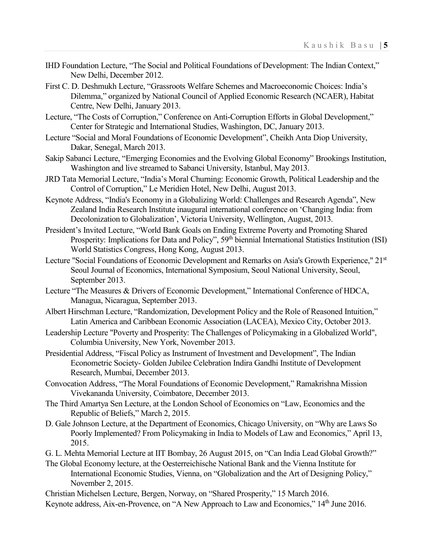- IHD Foundation Lecture, "The Social and Political Foundations of Development: The Indian Context," New Delhi, December 2012.
- First C. D. Deshmukh Lecture, "Grassroots Welfare Schemes and Macroeconomic Choices: India's Dilemma," organized by National Council of Applied Economic Research (NCAER), Habitat Centre, New Delhi, January 2013.
- Lecture, "The Costs of Corruption," Conference on Anti-Corruption Efforts in Global Development," Center for Strategic and International Studies, Washington, DC, January 2013.
- Lecture "Social and Moral Foundations of Economic Development", Cheikh Anta Diop University, Dakar, Senegal, March 2013.
- Sakip Sabanci Lecture, "Emerging Economies and the Evolving Global Economy" Brookings Institution, Washington and live streamed to Sabanci University, Istanbul, May 2013.
- JRD Tata Memorial Lecture, "India's Moral Churning: Economic Growth, Political Leadership and the Control of Corruption," Le Meridien Hotel, New Delhi, August 2013.
- Keynote Address, "India's Economy in a Globalizing World: Challenges and Research Agenda", New Zealand India Research Institute inaugural international conference on 'Changing India: from Decolonization to Globalization', Victoria University, Wellington, August, 2013.
- President's Invited Lecture, "World Bank Goals on Ending Extreme Poverty and Promoting Shared Prosperity: Implications for Data and Policy", 59<sup>th</sup> biennial International Statistics Institution (ISI) World Statistics Congress, Hong Kong, August 2013.
- Lecture "Social Foundations of Economic Development and Remarks on Asia's Growth Experience," 21<sup>st</sup> Seoul Journal of Economics, International Symposium, Seoul National University, Seoul, September 2013.
- Lecture "The Measures & Drivers of Economic Development," International Conference of HDCA, Managua, Nicaragua, September 2013.
- Albert Hirschman Lecture, "Randomization, Development Policy and the Role of Reasoned Intuition," Latin America and Caribbean Economic Association (LACEA), Mexico City, October 2013.
- Leadership Lecture "Poverty and Prosperity: The Challenges of Policymaking in a Globalized World", Columbia University, New York, November 2013.
- Presidential Address, "Fiscal Policy as Instrument of Investment and Development", The Indian Econometric Society- Golden Jubilee Celebration Indira Gandhi Institute of Development Research, Mumbai, December 2013.
- Convocation Address, "The Moral Foundations of Economic Development," Ramakrishna Mission Vivekananda University, Coimbatore, December 2013.
- The Third Amartya Sen Lecture, at the London School of Economics on "Law, Economics and the Republic of Beliefs," March 2, 2015.
- D. Gale Johnson Lecture, at the Department of Economics, Chicago University, on "Why are Laws So Poorly Implemented? From Policymaking in India to Models of Law and Economics," April 13, 2015.
- G. L. Mehta Memorial Lecture at IIT Bombay, 26 August 2015, on "Can India Lead Global Growth?"
- The Global Economy lecture, at the Oesterreichische National Bank and the Vienna Institute for International Economic Studies, Vienna, on "Globalization and the Art of Designing Policy," November 2, 2015.
- Christian Michelsen Lecture, Bergen, Norway, on "Shared Prosperity," 15 March 2016.
- Keynote address, Aix-en-Provence, on "A New Approach to Law and Economics," 14<sup>th</sup> June 2016.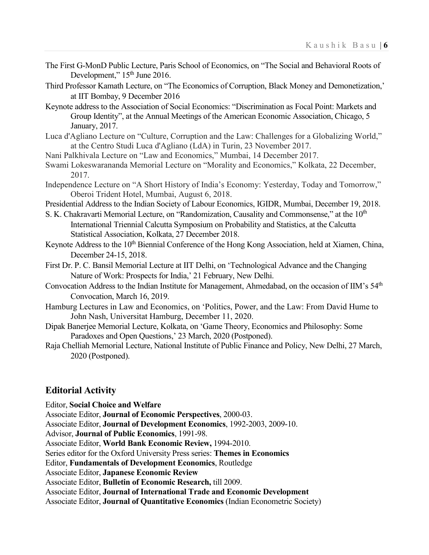- The First G-MonD Public Lecture, Paris School of Economics, on "The Social and Behavioral Roots of Development," 15<sup>th</sup> June 2016.
- Third Professor Kamath Lecture, on "The Economics of Corruption, Black Money and Demonetization,' at IIT Bombay, 9 December 2016
- Keynote address to the Association of Social Economics: "Discrimination as Focal Point: Markets and Group Identity", at the Annual Meetings of the American Economic Association, Chicago, 5 January, 2017.
- Luca d'Agliano Lecture on "Culture, Corruption and the Law: Challenges for a Globalizing World," at the Centro Studi Luca d'Agliano (LdA) in Turin, 23 November 2017.
- Nani Palkhivala Lecture on "Law and Economics," Mumbai, 14 December 2017.
- Swami Lokeswarananda Memorial Lecture on "Morality and Economics," Kolkata, 22 December, 2017.
- Independence Lecture on "A Short History of India's Economy: Yesterday, Today and Tomorrow," Oberoi Trident Hotel, Mumbai, August 6, 2018.
- Presidential Address to the Indian Society of Labour Economics, IGIDR, Mumbai, December 19, 2018.
- S. K. Chakravarti Memorial Lecture, on "Randomization, Causality and Commonsense," at the  $10<sup>th</sup>$ International Triennial Calcutta Symposium on Probability and Statistics, at the Calcutta Statistical Association, Kolkata, 27 December 2018.
- Keynote Address to the 10<sup>th</sup> Biennial Conference of the Hong Kong Association, held at Xiamen, China, December 24-15, 2018.
- First Dr. P. C. Bansil Memorial Lecture at IIT Delhi, on 'Technological Advance and the Changing Nature of Work: Prospects for India,' 21 February, New Delhi.
- Convocation Address to the Indian Institute for Management, Ahmedabad, on the occasion of IIM's 54<sup>th</sup> Convocation, March 16, 2019.
- Hamburg Lectures in Law and Economics, on 'Politics, Power, and the Law: From David Hume to John Nash, Universitat Hamburg, December 11, 2020.
- Dipak Banerjee Memorial Lecture, Kolkata, on 'Game Theory, Economics and Philosophy: Some Paradoxes and Open Questions,' 23 March, 2020 (Postponed).
- Raja Chelliah Memorial Lecture, National Institute of Public Finance and Policy, New Delhi, 27 March, 2020 (Postponed).

# **Editorial Activity**

Editor, **Social Choice and Welfare** Associate Editor, **Journal of Economic Perspectives**, 2000-03. Associate Editor, **Journal of Development Economics**, 1992-2003, 2009-10. Advisor, **Journal of Public Economics**, 1991-98. Associate Editor, **World Bank Economic Review,** 1994-2010. Series editor for the Oxford University Press series: **Themes in Economics** Editor, **Fundamentals of Development Economics**, Routledge Associate Editor, **Japanese Economic Review** Associate Editor, **Bulletin of Economic Research,** till 2009. Associate Editor, **Journal of International Trade and Economic Development** Associate Editor, **Journal of Quantitative Economics** (Indian Econometric Society)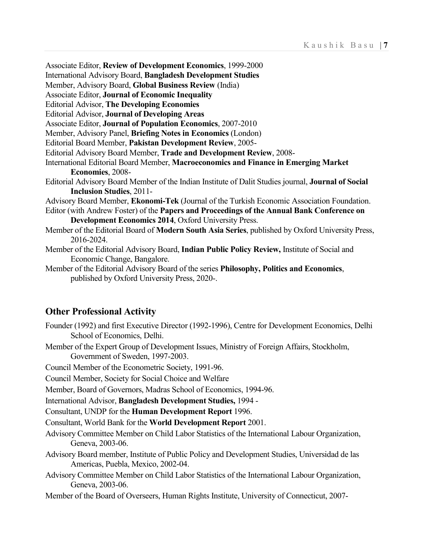Associate Editor, **Review of Development Economics**, 1999-2000 International Advisory Board, **Bangladesh Development Studies** Member, Advisory Board, **Global Business Review** (India) Associate Editor, **Journal of Economic Inequality** Editorial Advisor, **The Developing Economies** Editorial Advisor, **Journal of Developing Areas** Associate Editor, **Journal of Population Economics**, 2007-2010 Member, Advisory Panel, **Briefing Notes in Economics** (London) Editorial Board Member, **Pakistan Development Review**, 2005- Editorial Advisory Board Member, **Trade and Development Review**, 2008- International Editorial Board Member, **Macroeconomics and Finance in Emerging Market Economies**, 2008- Editorial Advisory Board Member of the Indian Institute of Dalit Studies journal, **Journal of Social Inclusion Studies**, 2011- Advisory Board Member, **Ekonomi-Tek** (Journal of the Turkish Economic Association Foundation. Editor (with Andrew Foster) of the **Papers and Proceedings of the Annual Bank Conference on Development Economics 2014**, Oxford University Press. Member of the Editorial Board of **Modern South Asia Series**, published by Oxford University Press, 2016-2024. Member of the Editorial Advisory Board, **Indian Public Policy Review,** Institute of Social and Economic Change, Bangalore. Member of the Editorial Advisory Board of the series **Philosophy, Politics and Economics**,

published by Oxford University Press, 2020-.

# **Other Professional Activity**

- Founder (1992) and first Executive Director (1992-1996), Centre for Development Economics, Delhi School of Economics, Delhi.
- Member of the Expert Group of Development Issues, Ministry of Foreign Affairs, Stockholm, Government of Sweden, 1997-2003.

Council Member of the Econometric Society, 1991-96.

Council Member, Society for Social Choice and Welfare

Member, Board of Governors, Madras School of Economics, 1994-96.

International Advisor, **Bangladesh Development Studies,** 1994 -

Consultant, UNDP for the **Human Development Report** 1996.

Consultant, World Bank for the **World Development Report** 2001.

- Advisory Committee Member on Child Labor Statistics of the International Labour Organization, Geneva, 2003-06.
- Advisory Board member, Institute of Public Policy and Development Studies, Universidad de las Americas, Puebla, Mexico, 2002-04.
- Advisory Committee Member on Child Labor Statistics of the International Labour Organization, Geneva, 2003-06.
- Member of the Board of Overseers, Human Rights Institute, University of Connecticut, 2007-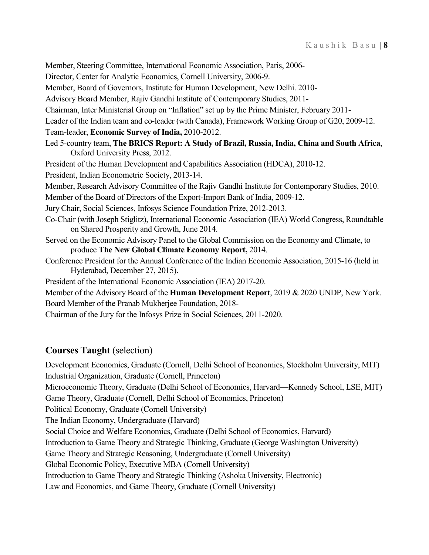Member, Steering Committee, International Economic Association, Paris, 2006-

Director, Center for Analytic Economics, Cornell University, 2006-9.

Member, Board of Governors, Institute for Human Development, New Delhi. 2010-

Advisory Board Member, Rajiv Gandhi Institute of Contemporary Studies, 2011-

Chairman, Inter Ministerial Group on "Inflation" set up by the Prime Minister, February 2011-

Leader of the Indian team and co-leader (with Canada), Framework Working Group of G20, 2009-12.

Team-leader, **Economic Survey of India,** 2010-2012.

- Led 5-country team, **The BRICS Report: A Study of Brazil, Russia, India, China and South Africa**, Oxford University Press, 2012.
- President of the Human Development and Capabilities Association (HDCA), 2010-12.

President, Indian Econometric Society, 2013-14.

Member, Research Advisory Committee of the Rajiv Gandhi Institute for Contemporary Studies, 2010.

Member of the Board of Directors of the Export-Import Bank of India, 2009-12.

- Jury Chair, Social Sciences, Infosys Science Foundation Prize, 2012-2013.
- Co-Chair (with Joseph Stiglitz), International Economic Association (IEA) World Congress, Roundtable on Shared Prosperity and Growth, June 2014.
- Served on the Economic Advisory Panel to the Global Commission on the Economy and Climate, to produce **The New Global Climate Economy Report,** 2014.
- Conference President for the Annual Conference of the Indian Economic Association, 2015-16 (held in Hyderabad, December 27, 2015).

President of the International Economic Association (IEA) 2017-20.

Member of the Advisory Board of the **Human Development Report**, 2019 & 2020 UNDP, New York. Board Member of the Pranab Mukherjee Foundation, 2018-

Chairman of the Jury for the Infosys Prize in Social Sciences, 2011-2020.

# **Courses Taught** (selection)

Development Economics, Graduate (Cornell, Delhi School of Economics, Stockholm University, MIT) Industrial Organization, Graduate (Cornell, Princeton) Microeconomic Theory, Graduate (Delhi School of Economics, Harvard—Kennedy School, LSE, MIT) Game Theory, Graduate (Cornell, Delhi School of Economics, Princeton) Political Economy, Graduate (Cornell University) The Indian Economy, Undergraduate (Harvard) Social Choice and Welfare Economics, Graduate (Delhi School of Economics, Harvard) Introduction to Game Theory and Strategic Thinking, Graduate (George Washington University) Game Theory and Strategic Reasoning, Undergraduate (Cornell University) Global Economic Policy, Executive MBA (Cornell University) Introduction to Game Theory and Strategic Thinking (Ashoka University, Electronic) Law and Economics, and Game Theory, Graduate (Cornell University)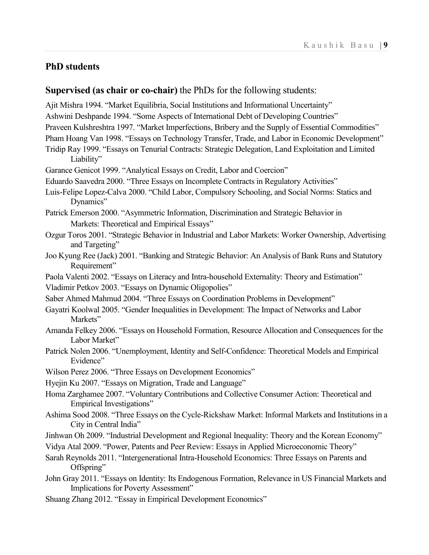# **PhD students**

### **Supervised (as chair or co-chair)** the PhDs for the following students:

Ajit Mishra 1994. "Market Equilibria, Social Institutions and Informational Uncertainty"

- Ashwini Deshpande 1994. "Some Aspects of International Debt of Developing Countries"
- Praveen Kulshreshtra 1997. "Market Imperfections, Bribery and the Supply of Essential Commodities"
- Pham Hoang Van 1998. "Essays on Technology Transfer, Trade, and Labor in Economic Development"
- Tridip Ray 1999. "Essays on Tenurial Contracts: Strategic Delegation, Land Exploitation and Limited Liability"
- Garance Genicot 1999. "Analytical Essays on Credit, Labor and Coercion"
- Eduardo Saavedra 2000. "Three Essays on Incomplete Contracts in Regulatory Activities"
- Luis-Felipe Lopez-Calva 2000. "Child Labor, Compulsory Schooling, and Social Norms: Statics and Dynamics"
- Patrick Emerson 2000. "Asymmetric Information, Discrimination and Strategic Behavior in Markets: Theoretical and Empirical Essays"
- Ozgur Toros 2001. "Strategic Behavior in Industrial and Labor Markets: Worker Ownership, Advertising and Targeting"
- Joo Kyung Ree (Jack) 2001. "Banking and Strategic Behavior: An Analysis of Bank Runs and Statutory Requirement"
- Paola Valenti 2002. "Essays on Literacy and Intra-household Externality: Theory and Estimation"
- Vladimir Petkov 2003. "Essays on Dynamic Oligopolies"
- Saber Ahmed Mahmud 2004. "Three Essays on Coordination Problems in Development"
- Gayatri Koolwal 2005. "Gender Inequalities in Development: The Impact of Networks and Labor Markets"
- Amanda Felkey 2006. "Essays on Household Formation, Resource Allocation and Consequences for the Labor Market"
- Patrick Nolen 2006. "Unemployment, Identity and Self-Confidence: Theoretical Models and Empirical Evidence"
- Wilson Perez 2006. "Three Essays on Development Economics"
- Hyejin Ku 2007. "Essays on Migration, Trade and Language"
- Homa Zarghamee 2007. "Voluntary Contributions and Collective Consumer Action: Theoretical and Empirical Investigations"
- Ashima Sood 2008. "Three Essays on the Cycle-Rickshaw Market: Informal Markets and Institutions in a City in Central India"
- Jinhwan Oh 2009. "Industrial Development and Regional Inequality: Theory and the Korean Economy"
- Vidya Atal 2009. "Power, Patents and Peer Review: Essays in Applied Microeconomic Theory"
- Sarah Reynolds 2011. "Intergenerational Intra-Household Economics: Three Essays on Parents and Offspring"
- John Gray 2011. "Essays on Identity: Its Endogenous Formation, Relevance in US Financial Markets and Implications for Poverty Assessment"
- Shuang Zhang 2012. "Essay in Empirical Development Economics"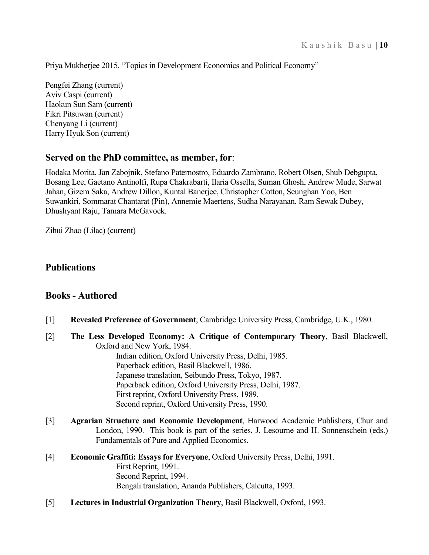Priya Mukherjee 2015. "Topics in Development Economics and Political Economy"

Pengfei Zhang (current) Aviv Caspi (current) Haokun Sun Sam (current) Fikri Pitsuwan (current) Chenyang Li (current) Harry Hyuk Son (current)

## **Served on the PhD committee, as member, for**:

Hodaka Morita, Jan Zabojnik, Stefano Paternostro, Eduardo Zambrano, Robert Olsen, Shub Debgupta, Bosang Lee, Gaetano Antinolfi, Rupa Chakrabarti, Ilaria Ossella, Suman Ghosh, Andrew Mude, Sarwat Jahan, Gizem Saka, Andrew Dillon, Kuntal Banerjee, Christopher Cotton, Seunghan Yoo, Ben Suwankiri, Sommarat Chantarat (Pin), Annemie Maertens, Sudha Narayanan, Ram Sewak Dubey, Dhushyant Raju, Tamara McGavock.

Zihui Zhao (Lilac) (current)

# **Publications**

### **Books - Authored**

- [1] **Revealed Preference of Government**, Cambridge University Press, Cambridge, U.K., 1980.
- [2] **The Less Developed Economy: A Critique of Contemporary Theory**, Basil Blackwell, Oxford and New York, 1984.

Indian edition, Oxford University Press, Delhi, 1985. Paperback edition, Basil Blackwell, 1986. Japanese translation, Seibundo Press, Tokyo, 1987. Paperback edition, Oxford University Press, Delhi, 1987. First reprint, Oxford University Press, 1989. Second reprint, Oxford University Press, 1990.

- [3] **Agrarian Structure and Economic Development**, Harwood Academic Publishers, Chur and London, 1990. This book is part of the series, J. Lesourne and H. Sonnenschein (eds.) Fundamentals of Pure and Applied Economics.
- [4] **Economic Graffiti: Essays for Everyone**, Oxford University Press, Delhi, 1991. First Reprint, 1991. Second Reprint, 1994. Bengali translation, Ananda Publishers, Calcutta, 1993.
- [5] **Lectures in Industrial Organization Theory**, Basil Blackwell, Oxford, 1993.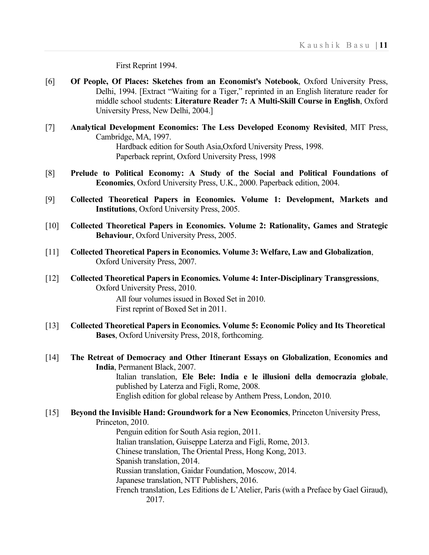First Reprint 1994.

- [6] **Of People, Of Places: Sketches from an Economist's Notebook**, Oxford University Press, Delhi, 1994. [Extract "Waiting for a Tiger," reprinted in an English literature reader for middle school students: **Literature Reader 7: A Multi-Skill Course in English**, Oxford University Press, New Delhi, 2004.]
- [7] **Analytical Development Economics: The Less Developed Economy Revisited**, MIT Press, Cambridge, MA, 1997. Hardback edition for South Asia,Oxford University Press, 1998. Paperback reprint, Oxford University Press, 1998
- [8] **Prelude to Political Economy: A Study of the Social and Political Foundations of Economics**, Oxford University Press, U.K., 2000. Paperback edition, 2004.
- [9] **Collected Theoretical Papers in Economics. Volume 1: Development, Markets and Institutions**, Oxford University Press, 2005.
- [10] **Collected Theoretical Papers in Economics. Volume 2: Rationality, Games and Strategic Behaviour**, Oxford University Press, 2005.
- [11] **Collected Theoretical Papers in Economics. Volume 3: Welfare, Law and Globalization**, Oxford University Press, 2007.
- [12] **Collected Theoretical Papers in Economics. Volume 4: Inter-Disciplinary Transgressions**, Oxford University Press, 2010.

All four volumes issued in Boxed Set in 2010. First reprint of Boxed Set in 2011.

- [13] **Collected Theoretical Papers in Economics. Volume 5: Economic Policy and Its Theoretical Bases**, Oxford University Press, 2018, forthcoming.
- [14] **The Retreat of Democracy and Other Itinerant Essays on Globalization**, **Economics and India**, Permanent Black, 2007.

Italian translation, **Ele Bele: India e le illusioni della democrazia globale**, published by Laterza and Figli, Rome, 2008. English edition for global release by Anthem Press, London, 2010.

# [15] **Beyond the Invisible Hand: Groundwork for a New Economics**, Princeton University Press, Princeton, 2010.

Penguin edition for South Asia region, 2011. Italian translation, Guiseppe Laterza and Figli, Rome, 2013. Chinese translation, The Oriental Press, Hong Kong, 2013. Spanish translation, 2014. Russian translation, Gaidar Foundation, Moscow, 2014. Japanese translation, NTT Publishers, 2016. French translation, Les Editions de L'Atelier, Paris (with a Preface by Gael Giraud), 2017.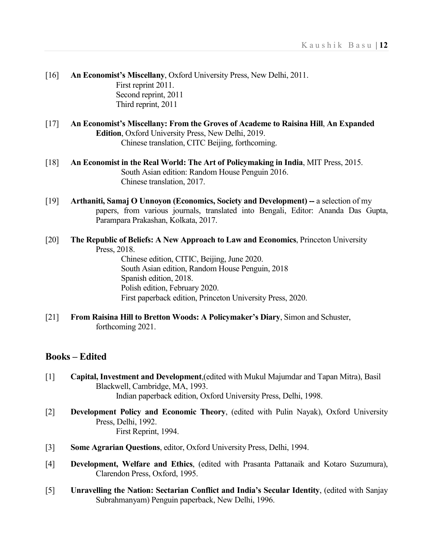- [16] **An Economist's Miscellany**, Oxford University Press, New Delhi, 2011. First reprint 2011. Second reprint, 2011 Third reprint, 2011
- [17] **An Economist's Miscellany: From the Groves of Academe to Raisina Hill**, **An Expanded Edition**, Oxford University Press, New Delhi, 2019. Chinese translation, CITC Beijing, forthcoming.
- [18] **An Economist in the Real World: The Art of Policymaking in India**, MIT Press, 2015. South Asian edition: Random House Penguin 2016. Chinese translation, 2017.
- [19] **Arthaniti, Samaj O Unnoyon (Economics, Society and Development) --** a selection of my papers, from various journals, translated into Bengali, Editor: Ananda Das Gupta, Parampara Prakashan, Kolkata, 2017.
- [20] **The Republic of Beliefs: A New Approach to Law and Economics**, Princeton University Press, 2018. Chinese edition, CITIC, Beijing, June 2020. South Asian edition, Random House Penguin, 2018 Spanish edition, 2018. Polish edition, February 2020. First paperback edition, Princeton University Press, 2020.
- [21] **From Raisina Hill to Bretton Woods: A Policymaker's Diary**, Simon and Schuster, forthcoming 2021.

# **Books – Edited**

- [1] **Capital, Investment and Development**,(edited with Mukul Majumdar and Tapan Mitra), Basil Blackwell, Cambridge, MA, 1993. Indian paperback edition, Oxford University Press, Delhi, 1998.
- [2] **Development Policy and Economic Theory**, (edited with Pulin Nayak), Oxford University Press, Delhi, 1992. First Reprint, 1994.
- [3] **Some Agrarian Questions**, editor, Oxford University Press, Delhi, 1994.
- [4] **Development, Welfare and Ethics**, (edited with Prasanta Pattanaik and Kotaro Suzumura), Clarendon Press, Oxford, 1995.
- [5] **Unravelling the Nation: Sectarian Conflict and India's Secular Identity**, (edited with Sanjay Subrahmanyam) Penguin paperback, New Delhi, 1996.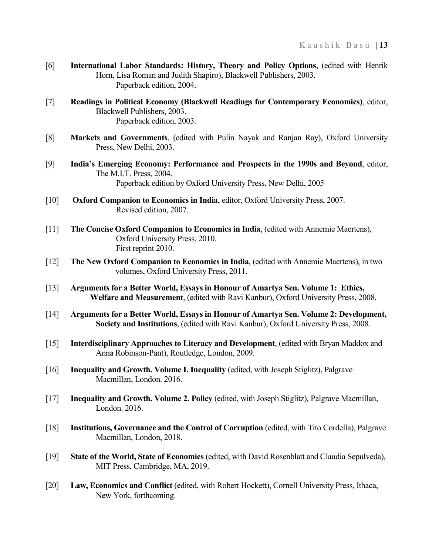- [6] **International Labor Standards: History, Theory and Policy Options**, (edited with Henrik Horn, Lisa Roman and Judith Shapiro), Blackwell Publishers, 2003. Paperback edition, 2004.
- [7] **Readings in Political Economy (Blackwell Readings for Contemporary Economics)**, editor, Blackwell Publishers, 2003. Paperback edition, 2003.
- [8] **Markets and Governments**, (edited with Pulin Nayak and Ranjan Ray), Oxford University Press, New Delhi, 2003.
- [9] **India's Emerging Economy: Performance and Prospects in the 1990s and Beyond**, editor, The M.I.T. Press, 2004. Paperback edition by Oxford University Press, New Delhi, 2005
- [10] **Oxford Companion to Economics in India**, editor, Oxford University Press, 2007. Revised edition, 2007.
- [11] **The Concise Oxford Companion to Economics in India**, (edited with Annemie Maertens), Oxford University Press, 2010. First reprint 2010.
- [12] **The New Oxford Companion to Economics in India**, (edited with Annemie Maertens), in two volumes, Oxford University Press, 2011.
- [13] **Arguments for a Better World, Essays in Honour of Amartya Sen. Volume 1: Ethics, Welfare and Measurement**, (edited with Ravi Kanbur), Oxford University Press, 2008.
- [14] **Arguments for a Better World, Essays in Honour of Amartya Sen. Volume 2: Development, Society and Institutions**, (edited with Ravi Kanbur), Oxford University Press, 2008.
- [15] **Interdisciplinary Approaches to Literacy and Development**, (edited with Bryan Maddox and Anna Robinson-Pant), Routledge, London, 2009.
- [16] **Inequality and Growth. Volume I. Inequality** (edited, with Joseph Stiglitz), Palgrave Macmillan, London. 2016.
- [17] **Inequality and Growth. Volume 2. Policy** (edited, with Joseph Stiglitz), Palgrave Macmillan, London. 2016.
- [18] **Institutions, Governance and the Control of Corruption** (edited, with Tito Cordella), Palgrave Macmillan, London, 2018.
- [19] **State of the World, State of Economics** (edited, with David Rosenblatt and Claudia Sepulveda), MIT Press, Cambridge, MA, 2019.
- [20] **Law, Economics and Conflict** (edited, with Robert Hockett), Cornell University Press, Ithaca, New York, forthcoming.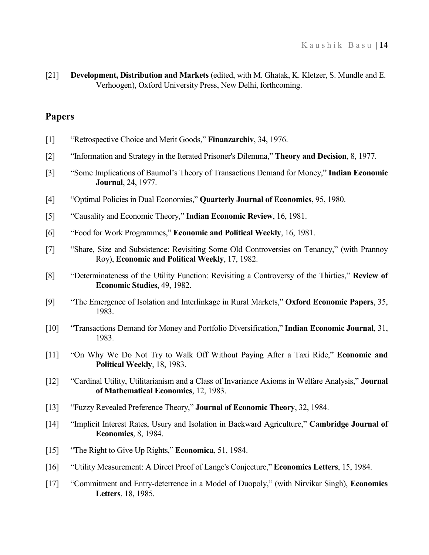[21] **Development, Distribution and Markets** (edited, with M. Ghatak, K. Kletzer, S. Mundle and E. Verhoogen), Oxford University Press, New Delhi, forthcoming.

## **Papers**

| $[1]$ |  | "Retrospective Choice and Merit Goods," Finanzarchiv, 34, 1976. |  |
|-------|--|-----------------------------------------------------------------|--|
|       |  |                                                                 |  |

- [2] "Information and Strategy in the Iterated Prisoner's Dilemma," **Theory and Decision**, 8, 1977.
- [3] "Some Implications of Baumol's Theory of Transactions Demand for Money," **Indian Economic Journal**, 24, 1977.
- [4] "Optimal Policies in Dual Economies," **Quarterly Journal of Economics**, 95, 1980.
- [5] "Causality and Economic Theory," **Indian Economic Review**, 16, 1981.
- [6] "Food for Work Programmes," **Economic and Political Weekly**, 16, 1981.
- [7] "Share, Size and Subsistence: Revisiting Some Old Controversies on Tenancy," (with Prannoy Roy), **Economic and Political Weekly**, 17, 1982.
- [8] "Determinateness of the Utility Function: Revisiting a Controversy of the Thirties," **Review of Economic Studies**, 49, 1982.
- [9] "The Emergence of Isolation and Interlinkage in Rural Markets," **Oxford Economic Papers**, 35, 1983.
- [10] "Transactions Demand for Money and Portfolio Diversification," **Indian Economic Journal**, 31, 1983.
- [11] "On Why We Do Not Try to Walk Off Without Paying After a Taxi Ride," **Economic and Political Weekly**, 18, 1983.
- [12] "Cardinal Utility, Utilitarianism and a Class of Invariance Axioms in Welfare Analysis," **Journal of Mathematical Economics**, 12, 1983.
- [13] "Fuzzy Revealed Preference Theory," **Journal of Economic Theory**, 32, 1984.
- [14] "Implicit Interest Rates, Usury and Isolation in Backward Agriculture," **Cambridge Journal of Economics**, 8, 1984.
- [15] "The Right to Give Up Rights," **Economica**, 51, 1984.
- [16] "Utility Measurement: A Direct Proof of Lange's Conjecture," **Economics Letters**, 15, 1984.
- [17] "Commitment and Entry-deterrence in a Model of Duopoly," (with Nirvikar Singh), **Economics Letters**, 18, 1985.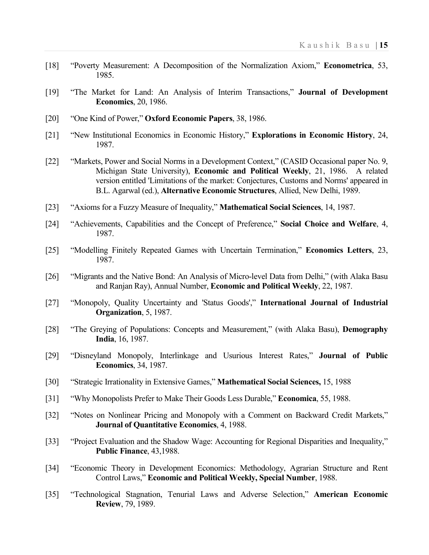- [18] "Poverty Measurement: A Decomposition of the Normalization Axiom," **Econometrica**, 53, 1985.
- [19] "The Market for Land: An Analysis of Interim Transactions," **Journal of Development Economics**, 20, 1986.
- [20] "One Kind of Power," **Oxford Economic Papers**, 38, 1986.
- [21] "New Institutional Economics in Economic History," **Explorations in Economic History**, 24, 1987.
- [22] "Markets, Power and Social Norms in a Development Context," (CASID Occasional paper No. 9, Michigan State University), **Economic and Political Weekly**, 21, 1986. A related version entitled 'Limitations of the market: Conjectures, Customs and Norms' appeared in B.L. Agarwal (ed.), **Alternative Economic Structures**, Allied, New Delhi, 1989.
- [23] "Axioms for a Fuzzy Measure of Inequality," **Mathematical Social Sciences**, 14, 1987.
- [24] "Achievements, Capabilities and the Concept of Preference," **Social Choice and Welfare**, 4, 1987.
- [25] "Modelling Finitely Repeated Games with Uncertain Termination," **Economics Letters**, 23, 1987.
- [26] "Migrants and the Native Bond: An Analysis of Micro-level Data from Delhi," (with Alaka Basu and Ranjan Ray), Annual Number, **Economic and Political Weekly**, 22, 1987.
- [27] "Monopoly, Quality Uncertainty and 'Status Goods'," **International Journal of Industrial Organization**, 5, 1987.
- [28] "The Greying of Populations: Concepts and Measurement," (with Alaka Basu), **Demography India**, 16, 1987.
- [29] "Disneyland Monopoly, Interlinkage and Usurious Interest Rates," **Journal of Public Economics**, 34, 1987.
- [30] "Strategic Irrationality in Extensive Games," **Mathematical Social Sciences,** 15, 1988
- [31] "Why Monopolists Prefer to Make Their Goods Less Durable," **Economica**, 55, 1988.
- [32] "Notes on Nonlinear Pricing and Monopoly with a Comment on Backward Credit Markets," **Journal of Quantitative Economics**, 4, 1988.
- [33] "Project Evaluation and the Shadow Wage: Accounting for Regional Disparities and Inequality," **Public Finance**, 43,1988.
- [34] "Economic Theory in Development Economics: Methodology, Agrarian Structure and Rent Control Laws," **Economic and Political Weekly, Special Number**, 1988.
- [35] "Technological Stagnation, Tenurial Laws and Adverse Selection," **American Economic Review**, 79, 1989.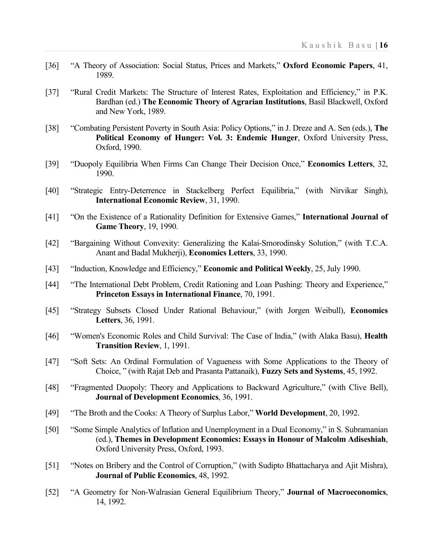- [36] "A Theory of Association: Social Status, Prices and Markets," **Oxford Economic Papers**, 41, 1989.
- [37] "Rural Credit Markets: The Structure of Interest Rates, Exploitation and Efficiency," in P.K. Bardhan (ed.) **The Economic Theory of Agrarian Institutions**, Basil Blackwell, Oxford and New York, 1989.
- [38] "Combating Persistent Poverty in South Asia: Policy Options," in J. Dreze and A. Sen (eds.), **The Political Economy of Hunger: Vol. 3: Endemic Hunger**, Oxford University Press, Oxford, 1990.
- [39] "Duopoly Equilibria When Firms Can Change Their Decision Once," **Economics Letters**, 32, 1990.
- [40] "Strategic Entry-Deterrence in Stackelberg Perfect Equilibria," (with Nirvikar Singh), **International Economic Review**, 31, 1990.
- [41] "On the Existence of a Rationality Definition for Extensive Games," **International Journal of Game Theory**, 19, 1990.
- [42] "Bargaining Without Convexity: Generalizing the Kalai-Smorodinsky Solution," (with T.C.A. Anant and Badal Mukherji), **Economics Letters**, 33, 1990.
- [43] "Induction, Knowledge and Efficiency," **Economic and Political Weekly**, 25, July 1990.
- [44] "The International Debt Problem, Credit Rationing and Loan Pushing: Theory and Experience," **Princeton Essays in International Finance**, 70, 1991.
- [45] "Strategy Subsets Closed Under Rational Behaviour," (with Jorgen Weibull), **Economics Letters**, 36, 1991.
- [46] "Women's Economic Roles and Child Survival: The Case of India," (with Alaka Basu), **Health Transition Review**, 1, 1991.
- [47] "Soft Sets: An Ordinal Formulation of Vagueness with Some Applications to the Theory of Choice, " (with Rajat Deb and Prasanta Pattanaik), **Fuzzy Sets and Systems**, 45, 1992.
- [48] "Fragmented Duopoly: Theory and Applications to Backward Agriculture," (with Clive Bell), **Journal of Development Economics**, 36, 1991.
- [49] "The Broth and the Cooks: A Theory of Surplus Labor," **World Development**, 20, 1992.
- [50] "Some Simple Analytics of Inflation and Unemployment in a Dual Economy," in S. Subramanian (ed.), **Themes in Development Economics: Essays in Honour of Malcolm Adiseshiah**, Oxford University Press, Oxford, 1993.
- [51] "Notes on Bribery and the Control of Corruption," (with Sudipto Bhattacharya and Ajit Mishra), **Journal of Public Economics**, 48, 1992.
- [52] "A Geometry for Non-Walrasian General Equilibrium Theory," **Journal of Macroeconomics**, 14, 1992.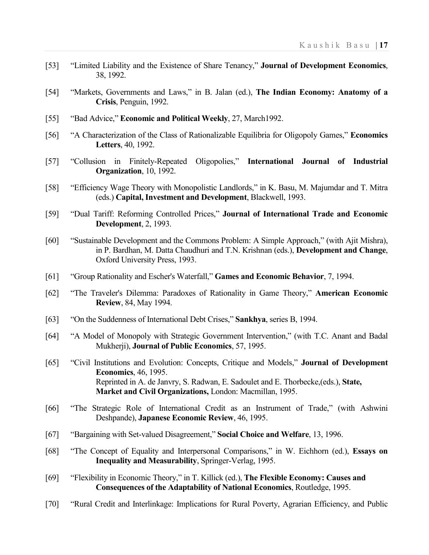- [53] "Limited Liability and the Existence of Share Tenancy," **Journal of Development Economics**, 38, 1992.
- [54] "Markets, Governments and Laws," in B. Jalan (ed.), **The Indian Economy: Anatomy of a Crisis**, Penguin, 1992.
- [55] "Bad Advice," **Economic and Political Weekly**, 27, March1992.
- [56] "A Characterization of the Class of Rationalizable Equilibria for Oligopoly Games," **Economics Letters**, 40, 1992.
- [57] "Collusion in Finitely-Repeated Oligopolies," **International Journal of Industrial Organization**, 10, 1992.
- [58] "Efficiency Wage Theory with Monopolistic Landlords," in K. Basu, M. Majumdar and T. Mitra (eds.) **Capital, Investment and Development**, Blackwell, 1993.
- [59] "Dual Tariff: Reforming Controlled Prices," **Journal of International Trade and Economic Development**, 2, 1993.
- [60] "Sustainable Development and the Commons Problem: A Simple Approach," (with Ajit Mishra), in P. Bardhan, M. Datta Chaudhuri and T.N. Krishnan (eds.), **Development and Change**, Oxford University Press, 1993.
- [61] "Group Rationality and Escher's Waterfall," **Games and Economic Behavior**, 7, 1994.
- [62] "The Traveler's Dilemma: Paradoxes of Rationality in Game Theory," **American Economic Review**, 84, May 1994.
- [63] "On the Suddenness of International Debt Crises," **Sankhya**, series B, 1994.
- [64] "A Model of Monopoly with Strategic Government Intervention," (with T.C. Anant and Badal Mukherji), **Journal of Public Economics**, 57, 1995.
- [65] "Civil Institutions and Evolution: Concepts, Critique and Models," **Journal of Development Economics**, 46, 1995. Reprinted in A. de Janvry, S. Radwan, E. Sadoulet and E. Thorbecke,(eds.), **State, Market and Civil Organizations,** London: Macmillan, 1995.
- [66] "The Strategic Role of International Credit as an Instrument of Trade," (with Ashwini Deshpande), **Japanese Economic Review**, 46, 1995.
- [67] "Bargaining with Set-valued Disagreement," **Social Choice and Welfare**, 13, 1996.
- [68] "The Concept of Equality and Interpersonal Comparisons," in W. Eichhorn (ed.), **Essays on Inequality and Measurability**, Springer-Verlag, 1995.
- [69] "Flexibility in Economic Theory," in T. Killick (ed.), **The Flexible Economy: Causes and Consequences of the Adaptability of National Economics**, Routledge, 1995.
- [70] "Rural Credit and Interlinkage: Implications for Rural Poverty, Agrarian Efficiency, and Public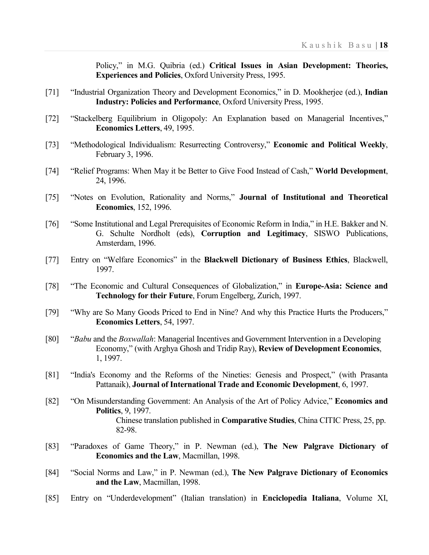Policy," in M.G. Quibria (ed.) **Critical Issues in Asian Development: Theories, Experiences and Policies**, Oxford University Press, 1995.

- [71] "Industrial Organization Theory and Development Economics," in D. Mookherjee (ed.), Indian **Industry: Policies and Performance**, Oxford University Press, 1995.
- [72] "Stackelberg Equilibrium in Oligopoly: An Explanation based on Managerial Incentives," **Economics Letters**, 49, 1995.
- [73] "Methodological Individualism: Resurrecting Controversy," **Economic and Political Weekly**, February 3, 1996.
- [74] "Relief Programs: When May it be Better to Give Food Instead of Cash," **World Development**, 24, 1996.
- [75] "Notes on Evolution, Rationality and Norms," **Journal of Institutional and Theoretical Economics**, 152, 1996.
- [76] "Some Institutional and Legal Prerequisites of Economic Reform in India," in H.E. Bakker and N. G. Schulte Nordholt (eds), **Corruption and Legitimacy**, SISWO Publications, Amsterdam, 1996.
- [77] Entry on "Welfare Economics" in the **Blackwell Dictionary of Business Ethics**, Blackwell, 1997.
- [78] "The Economic and Cultural Consequences of Globalization," in **Europe-Asia: Science and Technology for their Future**, Forum Engelberg, Zurich, 1997.
- [79] "Why are So Many Goods Priced to End in Nine? And why this Practice Hurts the Producers," **Economics Letters**, 54, 1997.
- [80] "*Babu* and the *Boxwallah*: Managerial Incentives and Government Intervention in a Developing Economy," (with Arghya Ghosh and Tridip Ray), **Review of Development Economics**, 1, 1997.
- [81] "India's Economy and the Reforms of the Nineties: Genesis and Prospect," (with Prasanta Pattanaik), **Journal of International Trade and Economic Development**, 6, 1997.
- [82] "On Misunderstanding Government: An Analysis of the Art of Policy Advice," **Economics and Politics**, 9, 1997. Chinese translation published in **Comparative Studies**, China CITIC Press, 25, pp. 82-98.
- [83] "Paradoxes of Game Theory," in P. Newman (ed.), **The New Palgrave Dictionary of Economics and the Law**, Macmillan, 1998.
- [84] "Social Norms and Law," in P. Newman (ed.), **The New Palgrave Dictionary of Economics and the Law**, Macmillan, 1998.
- [85] Entry on "Underdevelopment" (Italian translation) in **Enciclopedia Italiana**, Volume XI,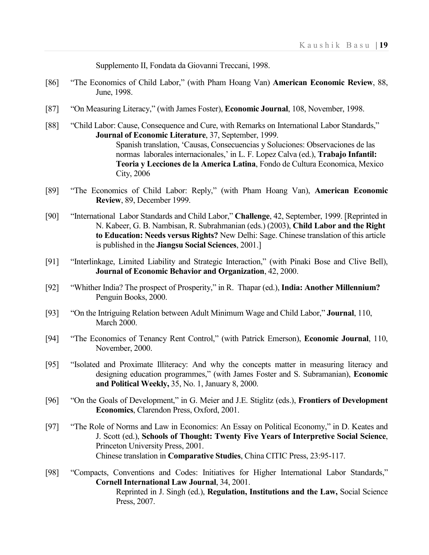Supplemento II, Fondata da Giovanni Treccani, 1998.

- [86] "The Economics of Child Labor," (with Pham Hoang Van) **American Economic Review**, 88, June, 1998.
- [87] "On Measuring Literacy," (with James Foster), **Economic Journal**, 108, November, 1998.
- [88] "Child Labor: Cause, Consequence and Cure, with Remarks on International Labor Standards," **Journal of Economic Literature**, 37, September, 1999. Spanish translation, 'Causas, Consecuencias y Soluciones: Observaciones de las normas laborales internacionales,' in L. F. Lopez Calva (ed.), **Trabajo Infantil: Teoria y Lecciones de la America Latina**, Fondo de Cultura Economica, Mexico City, 2006
- [89] "The Economics of Child Labor: Reply," (with Pham Hoang Van), **American Economic Review**, 89, December 1999.
- [90] "International Labor Standards and Child Labor," **Challenge**, 42, September, 1999. [Reprinted in N. Kabeer, G. B. Nambisan, R. Subrahmanian (eds.) (2003), **Child Labor and the Right to Education: Needs versus Rights?** New Delhi: Sage. Chinese translation of this article is published in the **Jiangsu Social Sciences**, 2001.]
- [91] "Interlinkage, Limited Liability and Strategic Interaction," (with Pinaki Bose and Clive Bell), **Journal of Economic Behavior and Organization**, 42, 2000.
- [92] "Whither India? The prospect of Prosperity," in R. Thapar (ed.), **India: Another Millennium?** Penguin Books, 2000.
- [93] "On the Intriguing Relation between Adult Minimum Wage and Child Labor," **Journal**, 110, March 2000.
- [94] "The Economics of Tenancy Rent Control," (with Patrick Emerson), **Economic Journal**, 110, November, 2000.
- [95] "Isolated and Proximate Illiteracy: And why the concepts matter in measuring literacy and designing education programmes," (with James Foster and S. Subramanian), **Economic and Political Weekly,** 35, No. 1, January 8, 2000.
- [96] "On the Goals of Development," in G. Meier and J.E. Stiglitz (eds.), **Frontiers of Development Economics**, Clarendon Press, Oxford, 2001.
- [97] "The Role of Norms and Law in Economics: An Essay on Political Economy," in D. Keates and J. Scott (ed.), **Schools of Thought: Twenty Five Years of Interpretive Social Science**, Princeton University Press, 2001. Chinese translation in **Comparative Studies**, China CITIC Press, 23:95-117.
- [98] "Compacts, Conventions and Codes: Initiatives for Higher International Labor Standards," **Cornell International Law Journal**, 34, 2001. Reprinted in J. Singh (ed.), **Regulation, Institutions and the Law,** Social Science Press, 2007.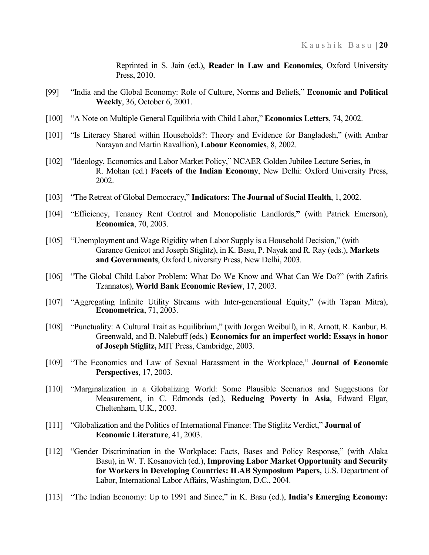Reprinted in S. Jain (ed.), **Reader in Law and Economics**, Oxford University Press, 2010.

- [99] "India and the Global Economy: Role of Culture, Norms and Beliefs," **Economic and Political Weekly**, 36, October 6, 2001.
- [100] "A Note on Multiple General Equilibria with Child Labor," **Economics Letters**, 74, 2002.
- [101] "Is Literacy Shared within Households?: Theory and Evidence for Bangladesh," (with Ambar Narayan and Martin Ravallion), **Labour Economics**, 8, 2002.
- [102] "Ideology, Economics and Labor Market Policy," NCAER Golden Jubilee Lecture Series, in R. Mohan (ed.) **Facets of the Indian Economy**, New Delhi: Oxford University Press, 2002.
- [103] "The Retreat of Global Democracy," **Indicators: The Journal of Social Health**, 1, 2002.
- [104] "Efficiency, Tenancy Rent Control and Monopolistic Landlords,**"** (with Patrick Emerson), **Economica**, 70, 2003.
- [105] "Unemployment and Wage Rigidity when Labor Supply is a Household Decision," (with Garance Genicot and Joseph Stiglitz), in K. Basu, P. Nayak and R. Ray (eds.), **Markets and Governments**, Oxford University Press, New Delhi, 2003.
- [106] "The Global Child Labor Problem: What Do We Know and What Can We Do?" (with Zafiris Tzannatos), **World Bank Economic Review**, 17, 2003.
- [107] "Aggregating Infinite Utility Streams with Inter-generational Equity," (with Tapan Mitra), **Econometrica**, 71, 2003.
- [108] "Punctuality: A Cultural Trait as Equilibrium," (with Jorgen Weibull), in R. Arnott, R. Kanbur, B. Greenwald, and B. Nalebuff (eds.) **Economics for an imperfect world: Essays in honor of Joseph Stiglitz,** MIT Press, Cambridge, 2003.
- [109] "The Economics and Law of Sexual Harassment in the Workplace," **Journal of Economic Perspectives**, 17, 2003.
- [110] "Marginalization in a Globalizing World: Some Plausible Scenarios and Suggestions for Measurement, in C. Edmonds (ed.), **Reducing Poverty in Asia**, Edward Elgar, Cheltenham, U.K., 2003.
- [111] "Globalization and the Politics of International Finance: The Stiglitz Verdict," **Journal of Economic Literature**, 41, 2003.
- [112] "Gender Discrimination in the Workplace: Facts, Bases and Policy Response," (with Alaka Basu), in W. T. Kosanovich (ed.), **Improving Labor Market Opportunity and Security for Workers in Developing Countries: ILAB Symposium Papers,** U.S. Department of Labor, International Labor Affairs, Washington, D.C., 2004.
- [113] "The Indian Economy: Up to 1991 and Since," in K. Basu (ed.), **India's Emerging Economy:**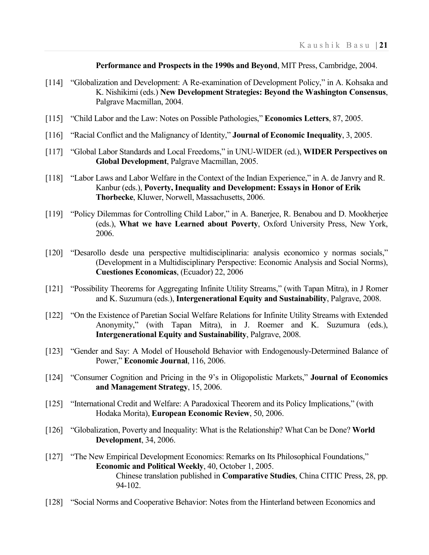**Performance and Prospects in the 1990s and Beyond**, MIT Press, Cambridge, 2004.

- [114] "Globalization and Development: A Re-examination of Development Policy," in A. Kohsaka and K. Nishikimi (eds.) **New Development Strategies: Beyond the Washington Consensus**, Palgrave Macmillan, 2004.
- [115] "Child Labor and the Law: Notes on Possible Pathologies," **Economics Letters**, 87, 2005.
- [116] "Racial Conflict and the Malignancy of Identity," **Journal of Economic Inequality**, 3, 2005.
- [117] "Global Labor Standards and Local Freedoms," in UNU-WIDER (ed.), **WIDER Perspectives on Global Development**, Palgrave Macmillan, 2005.
- [118] "Labor Laws and Labor Welfare in the Context of the Indian Experience," in A. de Janvry and R. Kanbur (eds.), **Poverty, Inequality and Development: Essays in Honor of Erik Thorbecke**, Kluwer, Norwell, Massachusetts, 2006.
- [119] "Policy Dilemmas for Controlling Child Labor," in A. Banerjee, R. Benabou and D. Mookherjee (eds.), **What we have Learned about Poverty**, Oxford University Press, New York, 2006.
- [120] "Desarollo desde una perspective multidisciplinaria: analysis economico y normas socials," (Development in a Multidisciplinary Perspective: Economic Analysis and Social Norms), **Cuestiones Economicas**, (Ecuador) 22, 2006
- [121] "Possibility Theorems for Aggregating Infinite Utility Streams," (with Tapan Mitra), in J Romer and K. Suzumura (eds.), **Intergenerational Equity and Sustainability**, Palgrave, 2008.
- [122] "On the Existence of Paretian Social Welfare Relations for Infinite Utility Streams with Extended Anonymity," (with Tapan Mitra), in J. Roemer and K. Suzumura (eds.), **Intergenerational Equity and Sustainability**, Palgrave, 2008.
- [123] "Gender and Say: A Model of Household Behavior with Endogenously-Determined Balance of Power," **Economic Journal**, 116, 2006.
- [124] "Consumer Cognition and Pricing in the 9's in Oligopolistic Markets," **Journal of Economics and Management Strategy**, 15, 2006.
- [125] "International Credit and Welfare: A Paradoxical Theorem and its Policy Implications," (with Hodaka Morita), **European Economic Review**, 50, 2006.
- [126] "Globalization, Poverty and Inequality: What is the Relationship? What Can be Done? **World Development**, 34, 2006.
- [127] "The New Empirical Development Economics: Remarks on Its Philosophical Foundations," **Economic and Political Weekly**, 40, October 1, 2005. Chinese translation published in **Comparative Studies**, China CITIC Press, 28, pp. 94-102.
- [128] "Social Norms and Cooperative Behavior: Notes from the Hinterland between Economics and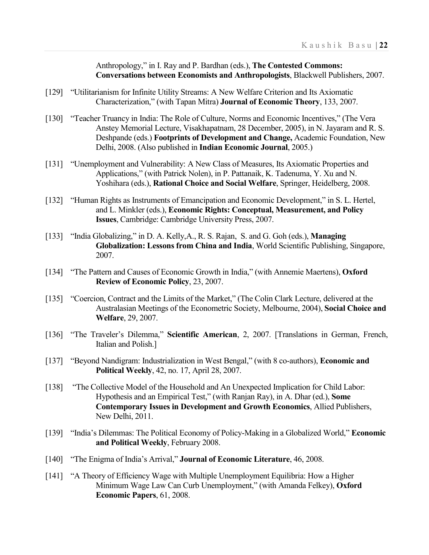Anthropology," in I. Ray and P. Bardhan (eds.), **The Contested Commons: Conversations between Economists and Anthropologists**, Blackwell Publishers, 2007.

- [129] "Utilitarianism for Infinite Utility Streams: A New Welfare Criterion and Its Axiomatic Characterization," (with Tapan Mitra) **Journal of Economic Theory**, 133, 2007.
- [130] "Teacher Truancy in India: The Role of Culture, Norms and Economic Incentives," (The Vera Anstey Memorial Lecture, Visakhapatnam, 28 December, 2005), in N. Jayaram and R. S. Deshpande (eds.) **Footprints of Development and Change,** Academic Foundation, New Delhi, 2008. (Also published in **Indian Economic Journal**, 2005.)
- [131] "Unemployment and Vulnerability: A New Class of Measures, Its Axiomatic Properties and Applications," (with Patrick Nolen), in P. Pattanaik, K. Tadenuma, Y. Xu and N. Yoshihara (eds.), **Rational Choice and Social Welfare**, Springer, Heidelberg, 2008.
- [132] "Human Rights as Instruments of Emancipation and Economic Development," in S. L. Hertel, and L. Minkler (eds.), **Economic Rights: Conceptual, Measurement, and Policy Issues**, Cambridge: Cambridge University Press, 2007.
- [133] "India Globalizing," in D. A. Kelly,A., R. S. Rajan, S. and G. Goh (eds.), **Managing Globalization: Lessons from China and India**, World Scientific Publishing, Singapore, 2007.
- [134] "The Pattern and Causes of Economic Growth in India," (with Annemie Maertens), **Oxford Review of Economic Policy**, 23, 2007.
- [135] "Coercion, Contract and the Limits of the Market," (The Colin Clark Lecture, delivered at the Australasian Meetings of the Econometric Society, Melbourne, 2004), **Social Choice and Welfare**, 29, 2007.
- [136] "The Traveler's Dilemma," **Scientific American**, 2, 2007. [Translations in German, French, Italian and Polish.]
- [137] "Beyond Nandigram: Industrialization in West Bengal," (with 8 co-authors), **Economic and Political Weekly**, 42, no. 17, April 28, 2007.
- [138] "The Collective Model of the Household and An Unexpected Implication for Child Labor: Hypothesis and an Empirical Test," (with Ranjan Ray), in A. Dhar (ed.), **Some Contemporary Issues in Development and Growth Economics**, Allied Publishers, New Delhi, 2011.
- [139] "India's Dilemmas: The Political Economy of Policy-Making in a Globalized World," **Economic and Political Weekly**, February 2008.
- [140] "The Enigma of India's Arrival," **Journal of Economic Literature**, 46, 2008.
- [141] "A Theory of Efficiency Wage with Multiple Unemployment Equilibria: How a Higher Minimum Wage Law Can Curb Unemployment," (with Amanda Felkey), **Oxford Economic Papers**, 61, 2008.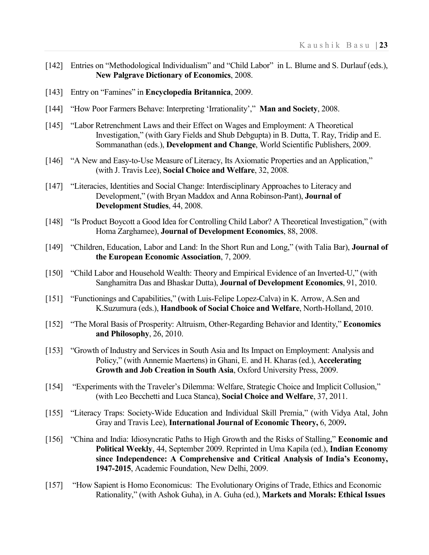- [142] Entries on "Methodological Individualism" and "Child Labor" in L. Blume and S. Durlauf (eds.), **New Palgrave Dictionary of Economics**, 2008.
- [143] Entry on "Famines" in **Encyclopedia Britannica**, 2009.
- [144] "How Poor Farmers Behave: Interpreting 'Irrationality'," **Man and Society**, 2008.
- [145] "Labor Retrenchment Laws and their Effect on Wages and Employment: A Theoretical Investigation," (with Gary Fields and Shub Debgupta) in B. Dutta, T. Ray, Tridip and E. Sommanathan (eds.), **Development and Change**, World Scientific Publishers, 2009.
- [146] "A New and Easy-to-Use Measure of Literacy, Its Axiomatic Properties and an Application," (with J. Travis Lee), **Social Choice and Welfare**, 32, 2008.
- [147] "Literacies, Identities and Social Change: Interdisciplinary Approaches to Literacy and Development," (with Bryan Maddox and Anna Robinson-Pant), **Journal of Development Studies**, 44, 2008.
- [148] "Is Product Boycott a Good Idea for Controlling Child Labor? A Theoretical Investigation," (with Homa Zarghamee), **Journal of Development Economics**, 88, 2008.
- [149] "Children, Education, Labor and Land: In the Short Run and Long," (with Talia Bar), **Journal of the European Economic Association**, 7, 2009.
- [150] "Child Labor and Household Wealth: Theory and Empirical Evidence of an Inverted-U," (with Sanghamitra Das and Bhaskar Dutta), **Journal of Development Economics**, 91, 2010.
- [151] "Functionings and Capabilities," (with Luis-Felipe Lopez-Calva) in K. Arrow, A.Sen and K.Suzumura (eds.), **Handbook of Social Choice and Welfare**, North-Holland, 2010.
- [152] "The Moral Basis of Prosperity: Altruism, Other-Regarding Behavior and Identity," **Economics and Philosophy**, 26, 2010.
- [153] "Growth of Industry and Services in South Asia and Its Impact on Employment: Analysis and Policy," (with Annemie Maertens) in Ghani, E. and H. Kharas (ed.), **Accelerating Growth and Job Creation in South Asia**, Oxford University Press, 2009.
- [154] "Experiments with the Traveler's Dilemma: Welfare, Strategic Choice and Implicit Collusion," (with Leo Becchetti and Luca Stanca), **Social Choice and Welfare**, 37, 2011.
- [155] "Literacy Traps: Society-Wide Education and Individual Skill Premia," (with Vidya Atal, John Gray and Travis Lee), **International Journal of Economic Theory,** 6, 2009**.**
- [156] "China and India: Idiosyncratic Paths to High Growth and the Risks of Stalling," **Economic and Political Weekly**, 44, September 2009. Reprinted in Uma Kapila (ed.), **Indian Economy since Independence: A Comprehensive and Critical Analysis of India's Economy, 1947-2015**, Academic Foundation, New Delhi, 2009.
- [157] "How Sapient is Homo Economicus: The Evolutionary Origins of Trade, Ethics and Economic Rationality," (with Ashok Guha), in A. Guha (ed.), **Markets and Morals: Ethical Issues**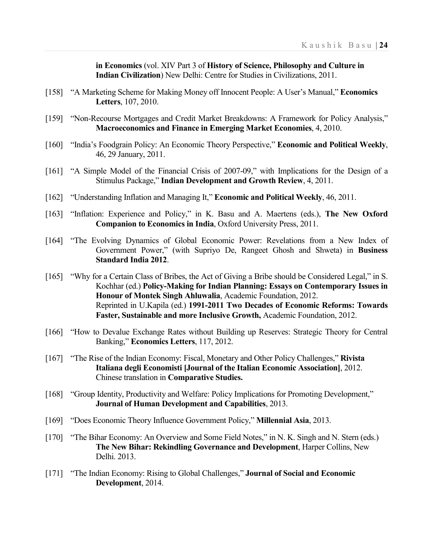**in Economics** (vol. XIV Part 3 of **History of Science, Philosophy and Culture in Indian Civilization**) New Delhi: Centre for Studies in Civilizations, 2011.

- [158] "A Marketing Scheme for Making Money off Innocent People: A User's Manual," **Economics Letters**, 107, 2010.
- [159] "Non-Recourse Mortgages and Credit Market Breakdowns: A Framework for Policy Analysis," **Macroeconomics and Finance in Emerging Market Economies**, 4, 2010.
- [160] "India's Foodgrain Policy: An Economic Theory Perspective," **Economic and Political Weekly**, 46, 29 January, 2011.
- [161] "A Simple Model of the Financial Crisis of 2007-09," with Implications for the Design of a Stimulus Package," **Indian Development and Growth Review**, 4, 2011.
- [162] "Understanding Inflation and Managing It," **Economic and Political Weekly**, 46, 2011.
- [163] "Inflation: Experience and Policy," in K. Basu and A. Maertens (eds.), **The New Oxford Companion to Economics in India**, Oxford University Press, 2011.
- [164] "The Evolving Dynamics of Global Economic Power: Revelations from a New Index of Government Power," (with Supriyo De, Rangeet Ghosh and Shweta) in **Business Standard India 2012**.
- [165] "Why for a Certain Class of Bribes, the Act of Giving a Bribe should be Considered Legal," in S. Kochhar (ed.) **Policy-Making for Indian Planning: Essays on Contemporary Issues in Honour of Montek Singh Ahluwalia**, Academic Foundation, 2012. Reprinted in U.Kapila (ed.) **1991-2011 Two Decades of Economic Reforms: Towards Faster, Sustainable and more Inclusive Growth,** Academic Foundation, 2012.
- [166] "How to Devalue Exchange Rates without Building up Reserves: Strategic Theory for Central Banking," **Economics Letters**, 117, 2012.
- [167] "The Rise of the Indian Economy: Fiscal, Monetary and Other Policy Challenges," **Rivista Italiana degli Economisti [Journal of the Italian Economic Association]**, 2012. Chinese translation in **Comparative Studies.**
- [168] "Group Identity, Productivity and Welfare: Policy Implications for Promoting Development," **Journal of Human Development and Capabilities**, 2013.
- [169] "Does Economic Theory Influence Government Policy," **Millennial Asia**, 2013.
- [170] "The Bihar Economy: An Overview and Some Field Notes," in N. K. Singh and N. Stern (eds.) **The New Bihar: Rekindling Governance and Development**, Harper Collins, New Delhi. 2013.
- [171] "The Indian Economy: Rising to Global Challenges," **Journal of Social and Economic Development**, 2014.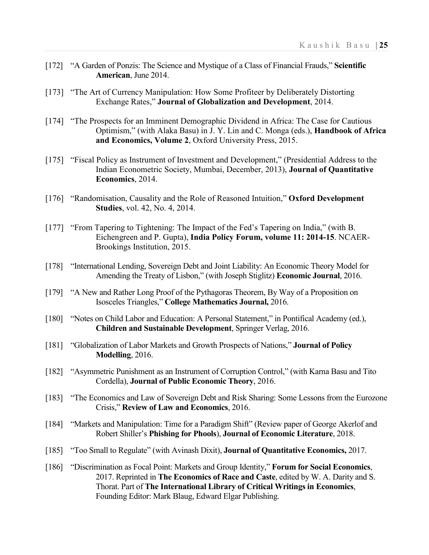- [172] "A Garden of Ponzis: The Science and Mystique of a Class of Financial Frauds," **Scientific American**, June 2014.
- [173] "The Art of Currency Manipulation: How Some Profiteer by Deliberately Distorting Exchange Rates," **Journal of Globalization and Development**, 2014.
- [174] "The Prospects for an Imminent Demographic Dividend in Africa: The Case for Cautious Optimism," (with Alaka Basu) in J. Y. Lin and C. Monga (eds.), **Handbook of Africa and Economics, Volume 2**, Oxford University Press, 2015.
- [175] "Fiscal Policy as Instrument of Investment and Development," (Presidential Address to the Indian Econometric Society, Mumbai, December, 2013), **Journal of Quantitative Economics**, 2014.
- [176] "Randomisation, Causality and the Role of Reasoned Intuition," **Oxford Development Studies**, vol. 42, No. 4, 2014.
- [177] "From Tapering to Tightening: The Impact of the Fed's Tapering on India," (with B. Eichengreen and P. Gupta), **India Policy Forum, volume 11: 2014-15**. NCAER-Brookings Institution, 2015.
- [178] "International Lending, Sovereign Debt and Joint Liability: An Economic Theory Model for Amending the Treaty of Lisbon," (with Joseph Stiglitz) **Economic Journal**, 2016.
- [179] "A New and Rather Long Proof of the Pythagoras Theorem, By Way of a Proposition on Isosceles Triangles," **College Mathematics Journal,** 2016.
- [180] "Notes on Child Labor and Education: A Personal Statement," in Pontifical Academy (ed.), **Children and Sustainable Development**, Springer Verlag, 2016.
- [181] "Globalization of Labor Markets and Growth Prospects of Nations," **Journal of Policy Modelling**, 2016.
- [182] "Asymmetric Punishment as an Instrument of Corruption Control," (with Karna Basu and Tito Cordella), **Journal of Public Economic Theory**, 2016.
- [183] "The Economics and Law of Sovereign Debt and Risk Sharing: Some Lessons from the Eurozone Crisis," **Review of Law and Economics**, 2016.
- [184] "Markets and Manipulation: Time for a Paradigm Shift" (Review paper of George Akerlof and Robert Shiller's **Phishing for Phools**), **Journal of Economic Literature**, 2018.
- [185] "Too Small to Regulate" (with Avinash Dixit), **Journal of Quantitative Economics,** 2017.
- [186] "Discrimination as Focal Point: Markets and Group Identity," **Forum for Social Economics**, 2017. Reprinted in **The Economics of Race and Caste**, edited by W. A. Darity and S. Thorat. Part of **The International Library of Critical Writings in Economics**, Founding Editor: Mark Blaug, Edward Elgar Publishing.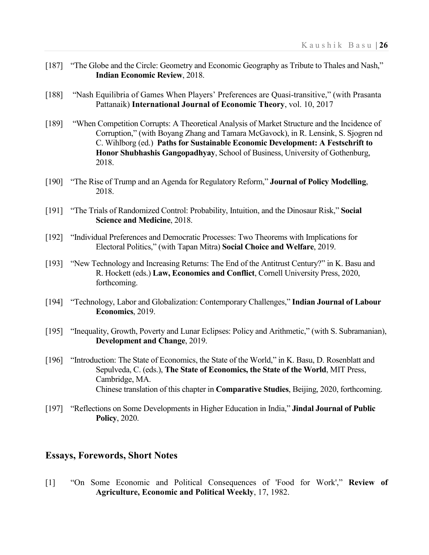- [187] "The Globe and the Circle: Geometry and Economic Geography as Tribute to Thales and Nash," **Indian Economic Review**, 2018.
- [188] "Nash Equilibria of Games When Players' Preferences are Quasi-transitive," (with Prasanta Pattanaik) **International Journal of Economic Theory**, vol. 10, 2017
- [189] "When Competition Corrupts: A Theoretical Analysis of Market Structure and the Incidence of Corruption," (with Boyang Zhang and Tamara McGavock), in R. Lensink, S. Sjogren nd C. Wihlborg (ed.) **Paths for Sustainable Economic Development: A Festschrift to Honor Shubhashis Gangopadhyay**, School of Business, University of Gothenburg, 2018.
- [190] "The Rise of Trump and an Agenda for Regulatory Reform," **Journal of Policy Modelling**, 2018.
- [191] "The Trials of Randomized Control: Probability, Intuition, and the Dinosaur Risk," **Social Science and Medicine**, 2018.
- [192] "Individual Preferences and Democratic Processes: Two Theorems with Implications for Electoral Politics," (with Tapan Mitra) **Social Choice and Welfare**, 2019.
- [193] "New Technology and Increasing Returns: The End of the Antitrust Century?" in K. Basu and R. Hockett (eds.) **Law, Economics and Conflict**, Cornell University Press, 2020, forthcoming.
- [194] "Technology, Labor and Globalization: Contemporary Challenges," **Indian Journal of Labour Economics**, 2019.
- [195] "Inequality, Growth, Poverty and Lunar Eclipses: Policy and Arithmetic," (with S. Subramanian), **Development and Change**, 2019.
- [196] "Introduction: The State of Economics, the State of the World," in K. Basu, D. Rosenblatt and Sepulveda, C. (eds.), **The State of Economics, the State of the World**, MIT Press, Cambridge, MA. Chinese translation of this chapter in **Comparative Studies**, Beijing, 2020, forthcoming.
- [197] "Reflections on Some Developments in Higher Education in India," **Jindal Journal of Public Policy**, 2020.

#### **Essays, Forewords, Short Notes**

[1] "On Some Economic and Political Consequences of 'Food for Work'," **Review of Agriculture, Economic and Political Weekly**, 17, 1982.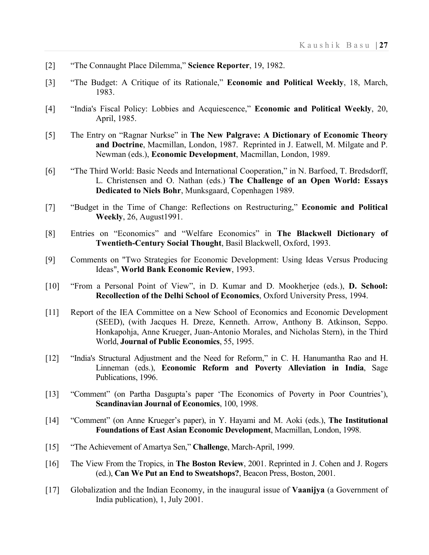- [2] "The Connaught Place Dilemma," **Science Reporter**, 19, 1982.
- [3] "The Budget: A Critique of its Rationale," **Economic and Political Weekly**, 18, March, 1983.
- [4] "India's Fiscal Policy: Lobbies and Acquiescence," **Economic and Political Weekly**, 20, April, 1985.
- [5] The Entry on "Ragnar Nurkse" in **The New Palgrave: A Dictionary of Economic Theory and Doctrine**, Macmillan, London, 1987. Reprinted in J. Eatwell, M. Milgate and P. Newman (eds.), **Economic Development**, Macmillan, London, 1989.
- [6] "The Third World: Basic Needs and International Cooperation," in N. Barfoed, T. Bredsdorff, L. Christensen and O. Nathan (eds.) **The Challenge of an Open World: Essays Dedicated to Niels Bohr**, Munksgaard, Copenhagen 1989.
- [7] "Budget in the Time of Change: Reflections on Restructuring," **Economic and Political Weekly**, 26, August1991.
- [8] Entries on "Economics" and "Welfare Economics" in **The Blackwell Dictionary of Twentieth-Century Social Thought**, Basil Blackwell, Oxford, 1993.
- [9] Comments on "Two Strategies for Economic Development: Using Ideas Versus Producing Ideas", **World Bank Economic Review**, 1993.
- [10] "From a Personal Point of View", in D. Kumar and D. Mookherjee (eds.), **D. School: Recollection of the Delhi School of Economics**, Oxford University Press, 1994.
- [11] Report of the IEA Committee on a New School of Economics and Economic Development (SEED), (with Jacques H. Dreze, Kenneth. Arrow, Anthony B. Atkinson, Seppo. Honkapohja, Anne Krueger, Juan-Antonio Morales, and Nicholas Stern), in the Third World, **Journal of Public Economics**, 55, 1995.
- [12] "India's Structural Adjustment and the Need for Reform," in C. H. Hanumantha Rao and H. Linneman (eds.), **Economic Reform and Poverty Alleviation in India**, Sage Publications, 1996.
- [13] "Comment" (on Partha Dasgupta's paper 'The Economics of Poverty in Poor Countries'), **Scandinavian Journal of Economics**, 100, 1998.
- [14] "Comment" (on Anne Krueger's paper), in Y. Hayami and M. Aoki (eds.), **The Institutional Foundations of East Asian Economic Development**, Macmillan, London, 1998.
- [15] "The Achievement of Amartya Sen," **Challenge**, March-April, 1999.
- [16] The View From the Tropics, in **The Boston Review**, 2001. Reprinted in J. Cohen and J. Rogers (ed.), **Can We Put an End to Sweatshops?**, Beacon Press, Boston, 2001.
- [17] Globalization and the Indian Economy, in the inaugural issue of **Vaanijya** (a Government of India publication), 1, July 2001.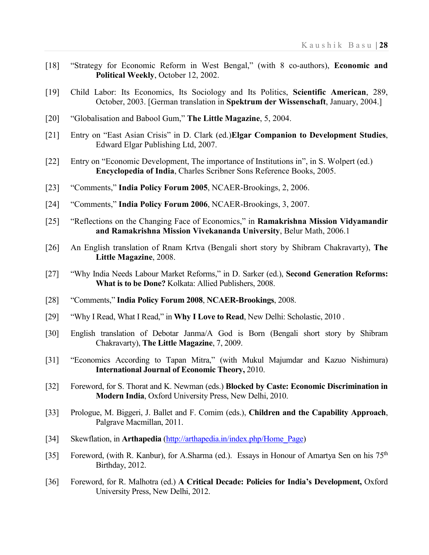- [18] "Strategy for Economic Reform in West Bengal," (with 8 co-authors), **Economic and Political Weekly**, October 12, 2002.
- [19] Child Labor: Its Economics, Its Sociology and Its Politics, **Scientific American**, 289, October, 2003. [German translation in **Spektrum der Wissenschaft**, January, 2004.]
- [20] "Globalisation and Babool Gum," **The Little Magazine**, 5, 2004.
- [21] Entry on "East Asian Crisis" in D. Clark (ed.)**Elgar Companion to Development Studies**, Edward Elgar Publishing Ltd, 2007.
- [22] Entry on "Economic Development, The importance of Institutions in", in S. Wolpert (ed.) **Encyclopedia of India**, Charles Scribner Sons Reference Books, 2005.
- [23] "Comments," **India Policy Forum 2005**, NCAER-Brookings, 2, 2006.
- [24] "Comments," **India Policy Forum 2006**, NCAER-Brookings, 3, 2007.
- [25] "Reflections on the Changing Face of Economics," in **Ramakrishna Mission Vidyamandir and Ramakrishna Mission Vivekananda University**, Belur Math, 2006.1
- [26] An English translation of Rnam Krtva (Bengali short story by Shibram Chakravarty), **The Little Magazine**, 2008.
- [27] "Why India Needs Labour Market Reforms," in D. Sarker (ed.), **Second Generation Reforms: What is to be Done?** Kolkata: Allied Publishers, 2008.
- [28] "Comments," **India Policy Forum 2008**, **NCAER-Brookings**, 2008.
- [29] "Why I Read, What I Read," in **Why I Love to Read**, New Delhi: Scholastic, 2010 .
- [30] English translation of Debotar Janma/A God is Born (Bengali short story by Shibram Chakravarty), **The Little Magazine**, 7, 2009.
- [31] "Economics According to Tapan Mitra," (with Mukul Majumdar and Kazuo Nishimura) **International Journal of Economic Theory,** 2010.
- [32] Foreword, for S. Thorat and K. Newman (eds.) **Blocked by Caste: Economic Discrimination in Modern India**, Oxford University Press, New Delhi, 2010.
- [33] Prologue, M. Biggeri, J. Ballet and F. Comim (eds.), **Children and the Capability Approach**, Palgrave Macmillan, 2011.
- [34] Skewflation, in **Arthapedia** [\(http://arthapedia.in/index.php/Home\\_Page\)](http://www.arthapedia.in/index.php/Home_Page)
- [35] Foreword, (with R. Kanbur), for A.Sharma (ed.). Essays in Honour of Amartya Sen on his 75<sup>th</sup> Birthday, 2012.
- [36] Foreword, for R. Malhotra (ed.) **A Critical Decade: Policies for India's Development,** Oxford University Press, New Delhi, 2012.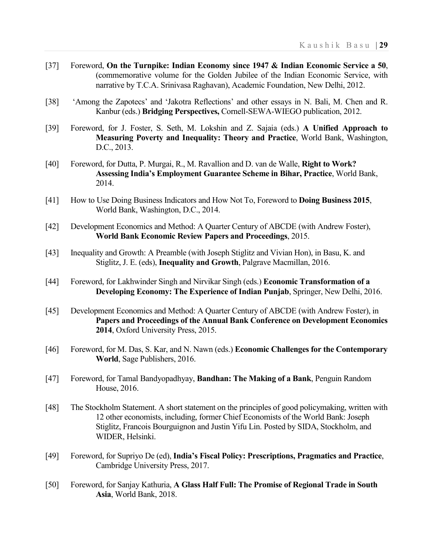- [37] Foreword, **On the Turnpike: Indian Economy since 1947 & Indian Economic Service a 50**, (commemorative volume for the Golden Jubilee of the Indian Economic Service, with narrative by T.C.A. Srinivasa Raghavan), Academic Foundation, New Delhi, 2012.
- [38] 'Among the Zapotecs' and 'Jakotra Reflections' and other essays in N. Bali, M. Chen and R. Kanbur (eds.) **Bridging Perspectives,** Cornell-SEWA-WIEGO publication, 2012.
- [39] Foreword, for J. Foster, S. Seth, M. Lokshin and Z. Sajaia (eds.) **A Unified Approach to Measuring Poverty and Inequality: Theory and Practice**, World Bank, Washington, D.C., 2013.
- [40] Foreword, for Dutta, P. Murgai, R., M. Ravallion and D. van de Walle, **Right to Work? Assessing India's Employment Guarantee Scheme in Bihar, Practice**, World Bank, 2014.
- [41] How to Use Doing Business Indicators and How Not To, Foreword to **Doing Business 2015**, World Bank, Washington, D.C., 2014.
- [42] Development Economics and Method: A Quarter Century of ABCDE (with Andrew Foster), **World Bank Economic Review Papers and Proceedings**, 2015.
- [43] Inequality and Growth: A Preamble (with Joseph Stiglitz and Vivian Hon), in Basu, K. and Stiglitz, J. E. (eds), **Inequality and Growth**, Palgrave Macmillan, 2016.
- [44] Foreword, for Lakhwinder Singh and Nirvikar Singh (eds.) **Economic Transformation of a Developing Economy: The Experience of Indian Punjab**, Springer, New Delhi, 2016.
- [45] Development Economics and Method: A Quarter Century of ABCDE (with Andrew Foster), in **Papers and Proceedings of the Annual Bank Conference on Development Economics 2014**, Oxford University Press, 2015.
- [46] Foreword, for M. Das, S. Kar, and N. Nawn (eds.) **Economic Challenges for the Contemporary World**, Sage Publishers, 2016.
- [47] Foreword, for Tamal Bandyopadhyay, **Bandhan: The Making of a Bank**, Penguin Random House, 2016.
- [48] The Stockholm Statement. A short statement on the principles of good policymaking, written with 12 other economists, including, former Chief Economists of the World Bank: Joseph Stiglitz, Francois Bourguignon and Justin Yifu Lin. Posted by SIDA, Stockholm, and WIDER, Helsinki.
- [49] Foreword, for Supriyo De (ed), **India's Fiscal Policy: Prescriptions, Pragmatics and Practice**, Cambridge University Press, 2017.
- [50] Foreword, for Sanjay Kathuria, **A Glass Half Full: The Promise of Regional Trade in South Asia**, World Bank, 2018.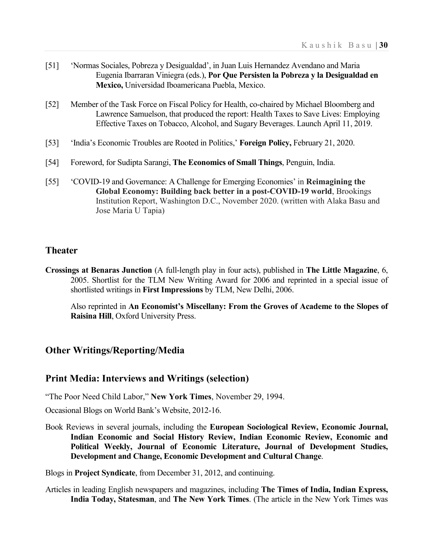- [51] 'Normas Sociales, Pobreza y Desigualdad', in Juan Luis Hernandez Avendano and Maria Eugenia Ibarraran Viniegra (eds.), **Por Que Persisten la Pobreza y la Desigualdad en Mexico,** Universidad Iboamericana Puebla, Mexico.
- [52] Member of the Task Force on Fiscal Policy for Health, co-chaired by Michael Bloomberg and Lawrence Samuelson, that produced the report: Health Taxes to Save Lives: Employing Effective Taxes on Tobacco, Alcohol, and Sugary Beverages. Launch April 11, 2019.
- [53] 'India's Economic Troubles are Rooted in Politics,' **Foreign Policy,** February 21, 2020.
- [54] Foreword, for Sudipta Sarangi, **The Economics of Small Things**, Penguin, India.
- [55] 'COVID-19 and Governance: A Challenge for Emerging Economies' in **Reimagining the Global Economy: Building back better in a post-COVID-19 world**, Brookings Institution Report, Washington D.C., November 2020. (written with Alaka Basu and Jose Maria U Tapia)

# **Theater**

**Crossings at Benaras Junction** (A full-length play in four acts), published in **The Little Magazine**, 6, 2005. Shortlist for the TLM New Writing Award for 2006 and reprinted in a special issue of shortlisted writings in **First Impressions** by TLM, New Delhi, 2006.

Also reprinted in **An Economist's Miscellany: From the Groves of Academe to the Slopes of Raisina Hill**, Oxford University Press.

# **Other Writings/Reporting/Media**

### **Print Media: Interviews and Writings (selection)**

"The Poor Need Child Labor," **New York Times**, November 29, 1994.

Occasional Blogs on World Bank's Website, 2012-16.

Book Reviews in several journals, including the **European Sociological Review, Economic Journal, Indian Economic and Social History Review, Indian Economic Review, Economic and Political Weekly, Journal of Economic Literature, Journal of Development Studies, Development and Change, Economic Development and Cultural Change**.

Blogs in **Project Syndicate**, from December 31, 2012, and continuing.

Articles in leading English newspapers and magazines, including **The Times of India, Indian Express, India Today, Statesman**, and **The New York Times**. (The article in the New York Times was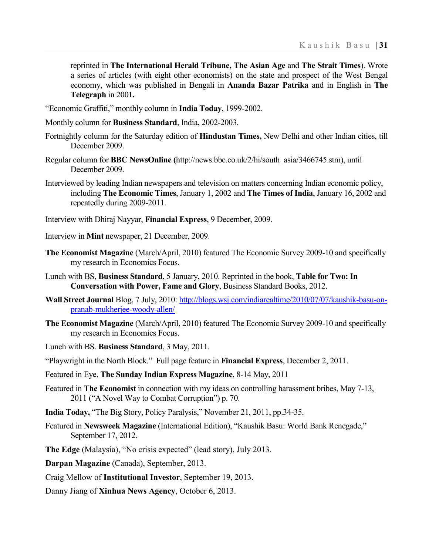reprinted in **The International Herald Tribune, The Asian Age** and **The Strait Times**). Wrote a series of articles (with eight other economists) on the state and prospect of the West Bengal economy, which was published in Bengali in **Ananda Bazar Patrika** and in English in **The Telegraph** in 2001**.**

"Economic Graffiti," monthly column in **India Today**, 1999-2002.

- Monthly column for **Business Standard**, India, 2002-2003.
- Fortnightly column for the Saturday edition of **Hindustan Times,** New Delhi and other Indian cities, till December 2009.
- Regular column for **BBC NewsOnline (**http://news.bbc.co.uk/2/hi/south\_asia/3466745.stm), until December 2009.
- Interviewed by leading Indian newspapers and television on matters concerning Indian economic policy, including **The Economic Times**, January 1, 2002 and **The Times of India**, January 16, 2002 and repeatedly during 2009-2011.
- Interview with Dhiraj Nayyar, **Financial Express**, 9 December, 2009.
- Interview in **Mint** newspaper, 21 December, 2009.
- **The Economist Magazine** (March/April, 2010) featured The Economic Survey 2009-10 and specifically my research in Economics Focus.
- Lunch with BS, **Business Standard**, 5 January, 2010. Reprinted in the book, **Table for Two: In Conversation with Power, Fame and Glory**, Business Standard Books, 2012.
- **Wall Street Journal** Blog, 7 July, 2010: *[http://blogs.wsj.com/indiarealtime/2010/07/07/kaushik-basu-on](http://blogs.wsj.com/indiarealtime/2010/07/07/kaushik-basu-on-pranab-mukherjee-woody-allen/)*pranab-mukherjee-woody-allen/
- **The Economist Magazine** (March/April, 2010) featured The Economic Survey 2009-10 and specifically my research in Economics Focus.

Lunch with BS. **Business Standard**, 3 May, 2011.

"Playwright in the North Block." Full page feature in **Financial Express**, December 2, 2011.

- Featured in Eye, **The Sunday Indian Express Magazine**, 8-14 May, 2011
- Featured in **The Economist** in connection with my ideas on controlling harassment bribes, May 7-13, 2011 ("A Novel Way to Combat Corruption") p. 70.
- **India Today,** "The Big Story, Policy Paralysis," November 21, 2011, pp.34-35.
- Featured in **Newsweek Magazine** (International Edition), "Kaushik Basu: World Bank Renegade," September 17, 2012.
- **The Edge** (Malaysia), "No crisis expected" (lead story), July 2013.
- **Darpan Magazine** (Canada), September, 2013.
- Craig Mellow of **Institutional Investor**, September 19, 2013.

Danny Jiang of **Xinhua News Agency**, October 6, 2013.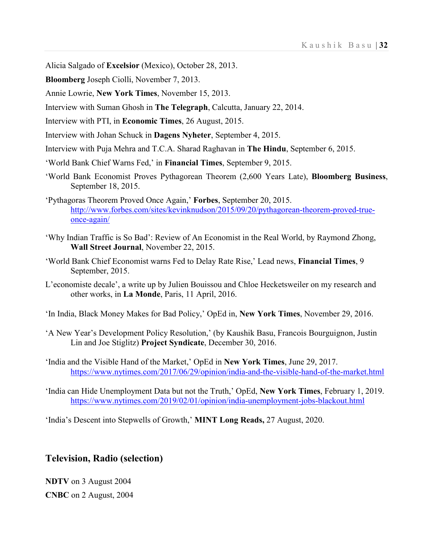Alicia Salgado of **Excelsior** (Mexico), October 28, 2013.

**Bloomberg** Joseph Ciolli, November 7, 2013.

Annie Lowrie, **New York Times**, November 15, 2013.

Interview with Suman Ghosh in **The Telegraph**, Calcutta, January 22, 2014.

Interview with PTI, in **Economic Times**, 26 August, 2015.

Interview with Johan Schuck in **Dagens Nyheter**, September 4, 2015.

Interview with Puja Mehra and T.C.A. Sharad Raghavan in **The Hindu**, September 6, 2015.

- 'World Bank Chief Warns Fed,' in **Financial Times**, September 9, 2015.
- 'World Bank Economist Proves Pythagorean Theorem (2,600 Years Late), **Bloomberg Business**, September 18, 2015.
- 'Pythagoras Theorem Proved Once Again,' **Forbes**, September 20, 2015. [http://www.forbes.com/sites/kevinknudson/2015/09/20/pythagorean-theorem-proved-true](http://www.forbes.com/sites/kevinknudson/2015/09/20/pythagorean-theorem-proved-true-once-again/)once-again/
- 'Why Indian Traffic is So Bad': Review of An Economist in the Real World, by Raymond Zhong, **Wall Street Journal**, November 22, 2015.
- 'World Bank Chief Economist warns Fed to Delay Rate Rise,' Lead news, **Financial Times**, 9 September, 2015.
- L'economiste decale', a write up by Julien Bouissou and Chloe Hecketsweiler on my research and other works, in **La Monde**, Paris, 11 April, 2016.

'In India, Black Money Makes for Bad Policy,' OpEd in, **New York Times**, November 29, 2016.

- 'A New Year's Development Policy Resolution,' (by Kaushik Basu, Francois Bourguignon, Justin Lin and Joe Stiglitz) **Project Syndicate**, December 30, 2016.
- 'India and the Visible Hand of the Market,' OpEd in **New York Times**, June 29, 2017. <https://www.nytimes.com/2017/06/29/opinion/india-and-the-visible-hand-of-the-market.html>
- 'India can Hide Unemployment Data but not the Truth,' OpEd, **New York Times**, February 1, 2019. <https://www.nytimes.com/2019/02/01/opinion/india-unemployment-jobs-blackout.html>

'India's Descent into Stepwells of Growth,' **MINT Long Reads,** 27 August, 2020.

### **Television, Radio (selection)**

**NDTV** on 3 August 2004 **CNBC** on 2 August, 2004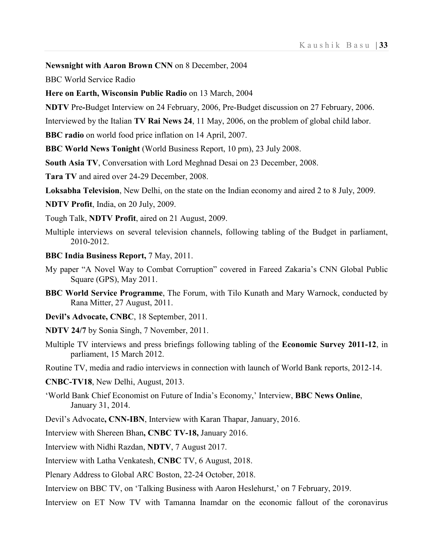**Newsnight with Aaron Brown CNN** on 8 December, 2004

BBC World Service Radio

**Here on Earth, Wisconsin Public Radio** on 13 March, 2004

**NDTV** Pre**-**Budget Interview on 24 February, 2006, Pre-Budget discussion on 27 February, 2006.

Interviewed by the Italian **TV Rai News 24**, 11 May, 2006, on the problem of global child labor.

**BBC radio** on world food price inflation on 14 April, 2007.

**BBC World News Tonight** (World Business Report, 10 pm), 23 July 2008.

**South Asia TV**, Conversation with Lord Meghnad Desai on 23 December, 2008.

**Tara TV** and aired over 24-29 December, 2008.

**Loksabha Television**, New Delhi, on the state on the Indian economy and aired 2 to 8 July, 2009.

**NDTV Profit**, India, on 20 July, 2009.

Tough Talk, **NDTV Profit**, aired on 21 August, 2009.

- Multiple interviews on several television channels, following tabling of the Budget in parliament, 2010-2012.
- **BBC India Business Report,** 7 May, 2011.
- My paper "A Novel Way to Combat Corruption" covered in Fareed Zakaria's CNN Global Public Square (GPS), May 2011.
- **BBC World Service Programme**, The Forum, with Tilo Kunath and Mary Warnock, conducted by Rana Mitter, 27 August, 2011.

**Devil's Advocate, CNBC**, 18 September, 2011.

- **NDTV 24/7** by Sonia Singh, 7 November, 2011.
- Multiple TV interviews and press briefings following tabling of the **Economic Survey 2011-12**, in parliament, 15 March 2012.

Routine TV, media and radio interviews in connection with launch of World Bank reports, 2012-14.

- **CNBC-TV18**, New Delhi, August, 2013.
- 'World Bank Chief Economist on Future of India's Economy,' Interview, **BBC News Online**, January 31, 2014.
- Devil's Advocate**, CNN-IBN**, Interview with Karan Thapar, January, 2016.
- Interview with Shereen Bhan**, CNBC TV-18,** January 2016.

Interview with Nidhi Razdan, **NDTV**, 7 August 2017.

Interview with Latha Venkatesh, **CNBC** TV, 6 August, 2018.

Plenary Address to Global ARC Boston, 22-24 October, 2018.

Interview on BBC TV, on 'Talking Business with Aaron Heslehurst,' on 7 February, 2019.

Interview on ET Now TV with Tamanna Inamdar on the economic fallout of the coronavirus